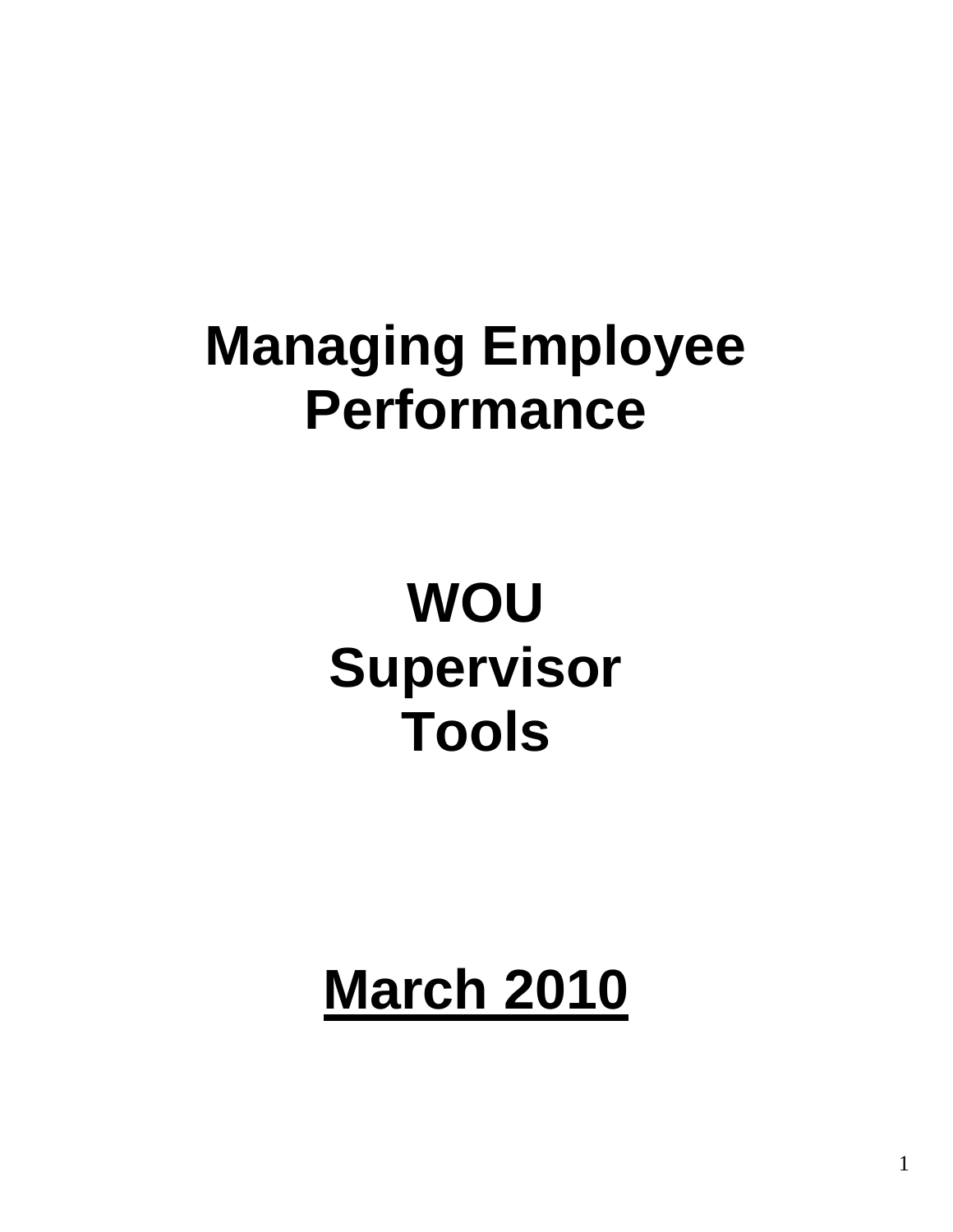# **Managing Employee Performance**

# **WOU Supervisor Tools**

**March 2010**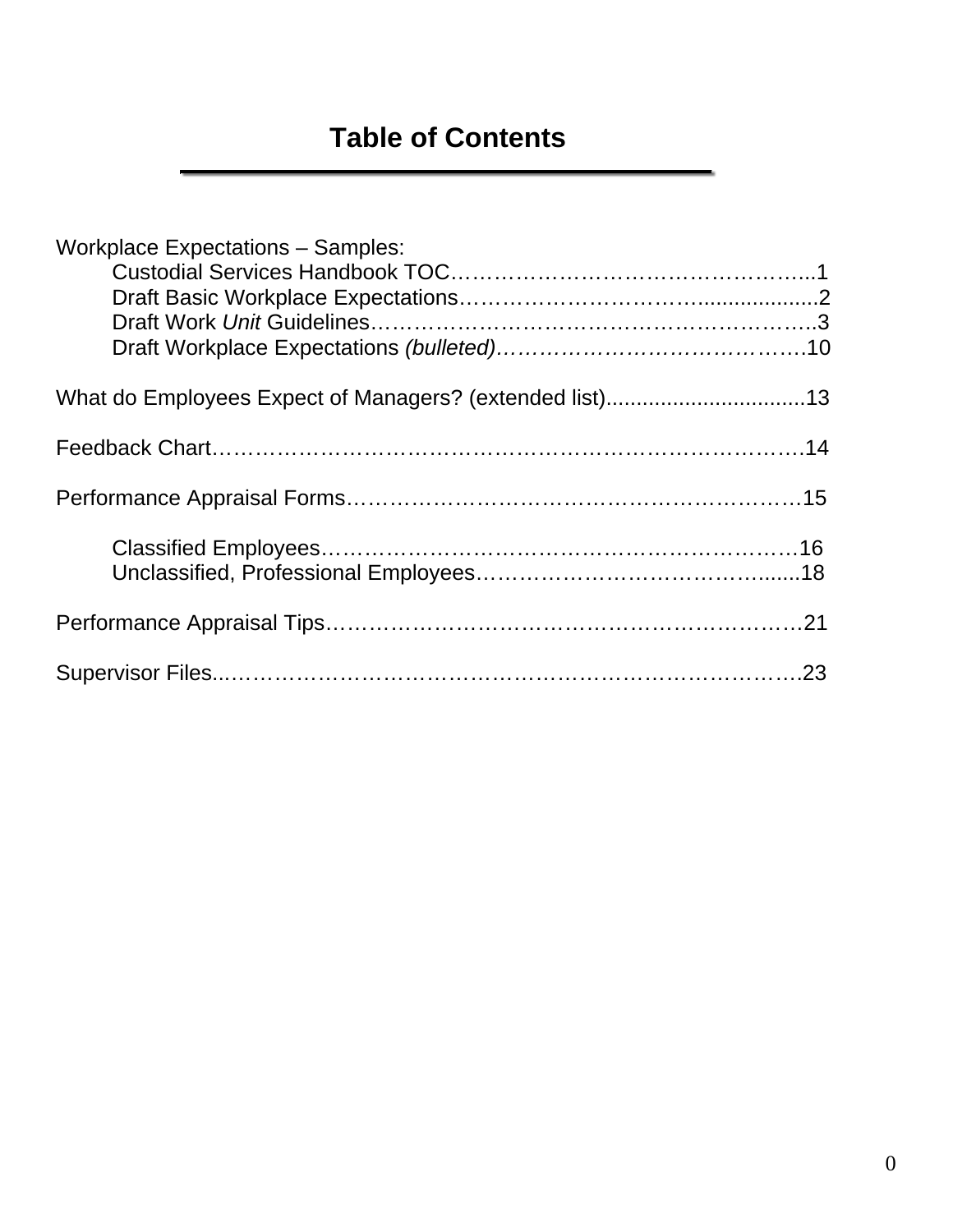# **Table of Contents**

| <b>Workplace Expectations - Samples:</b> |  |
|------------------------------------------|--|
|                                          |  |
|                                          |  |
|                                          |  |
|                                          |  |
|                                          |  |
|                                          |  |
|                                          |  |
|                                          |  |
|                                          |  |
|                                          |  |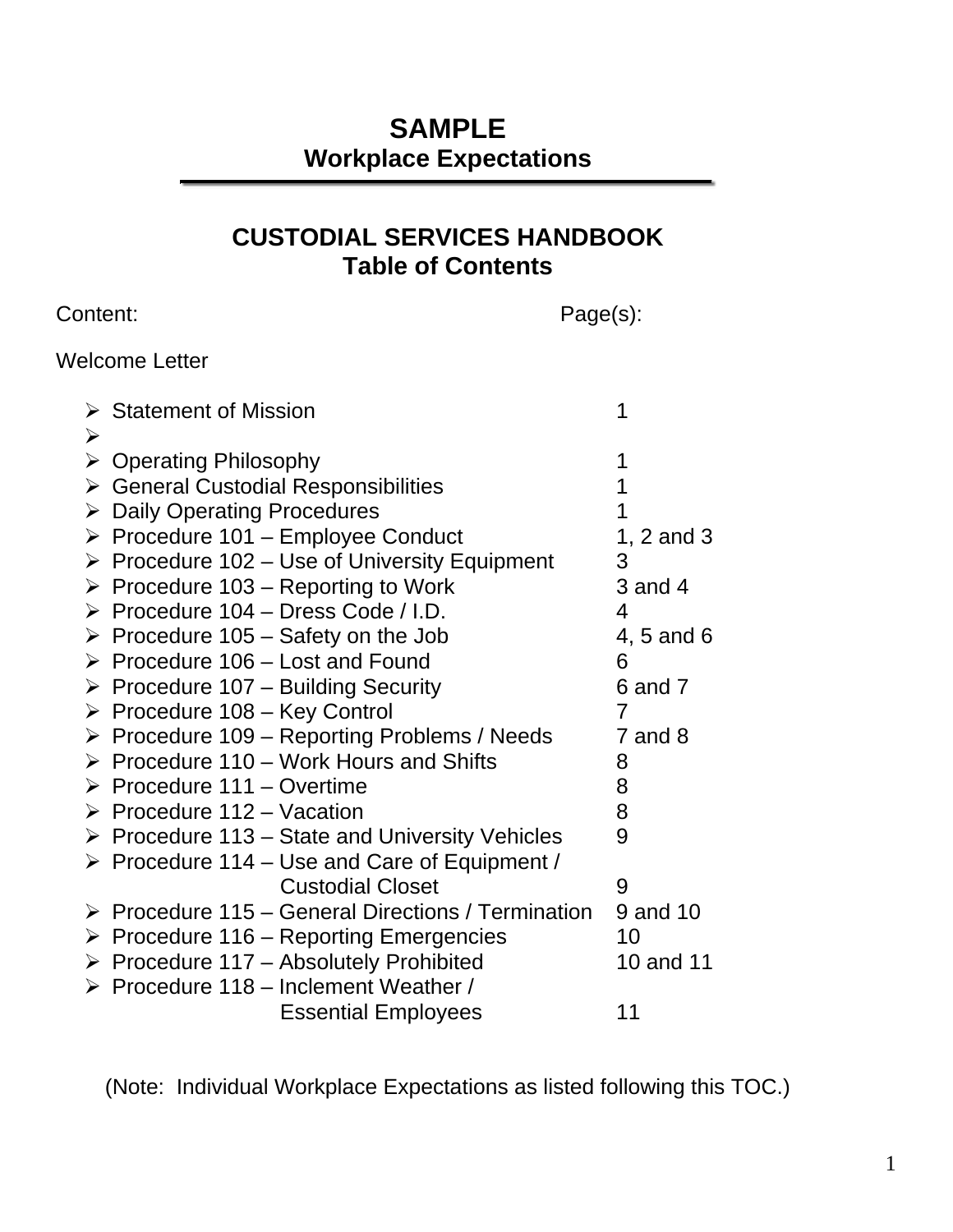# **SAMPLE Workplace Expectations**

# **CUSTODIAL SERVICES HANDBOOK Table of Contents**

Content: Page(s): Welcome Letter ▶ Statement of Mission 1  $\blacktriangleright$ ▶ Operating Philosophy 1 General Custodial Responsibilities 1 **Daily Operating Procedures** 1  $\triangleright$  Procedure 101 – Employee Conduct 1, 2 and 3  $\triangleright$  Procedure 102 – Use of University Equipment 3  $\triangleright$  Procedure 103 – Reporting to Work 3 and 4 ▶ Procedure 104 – Dress Code / I.D. 4 Procedure  $105 -$  Safety on the Job 4, 5 and 6 ▶ Procedure 106 – Lost and Found 6 ▶ Procedure 107 – Building Security 6 and 7 ▶ Procedure 108 – Key Control 7  $\triangleright$  Procedure 109 – Reporting Problems / Needs 7 and 8  $\triangleright$  Procedure 110 – Work Hours and Shifts 8  $\triangleright$  Procedure 111 – Overtime 8 ▶ Procedure 112 – Vacation 8  $\triangleright$  Procedure 113 – State and University Vehicles 9  $\triangleright$  Procedure 114 – Use and Care of Equipment / Custodial Closet 9  $\triangleright$  Procedure 115 – General Directions / Termination 9 and 10  $\triangleright$  Procedure 116 – Reporting Emergencies 10  $\triangleright$  Procedure 117 – Absolutely Prohibited 10 and 11  $\triangleright$  Procedure 118 – Inclement Weather / Essential Employees 11

(Note: Individual Workplace Expectations as listed following this TOC.)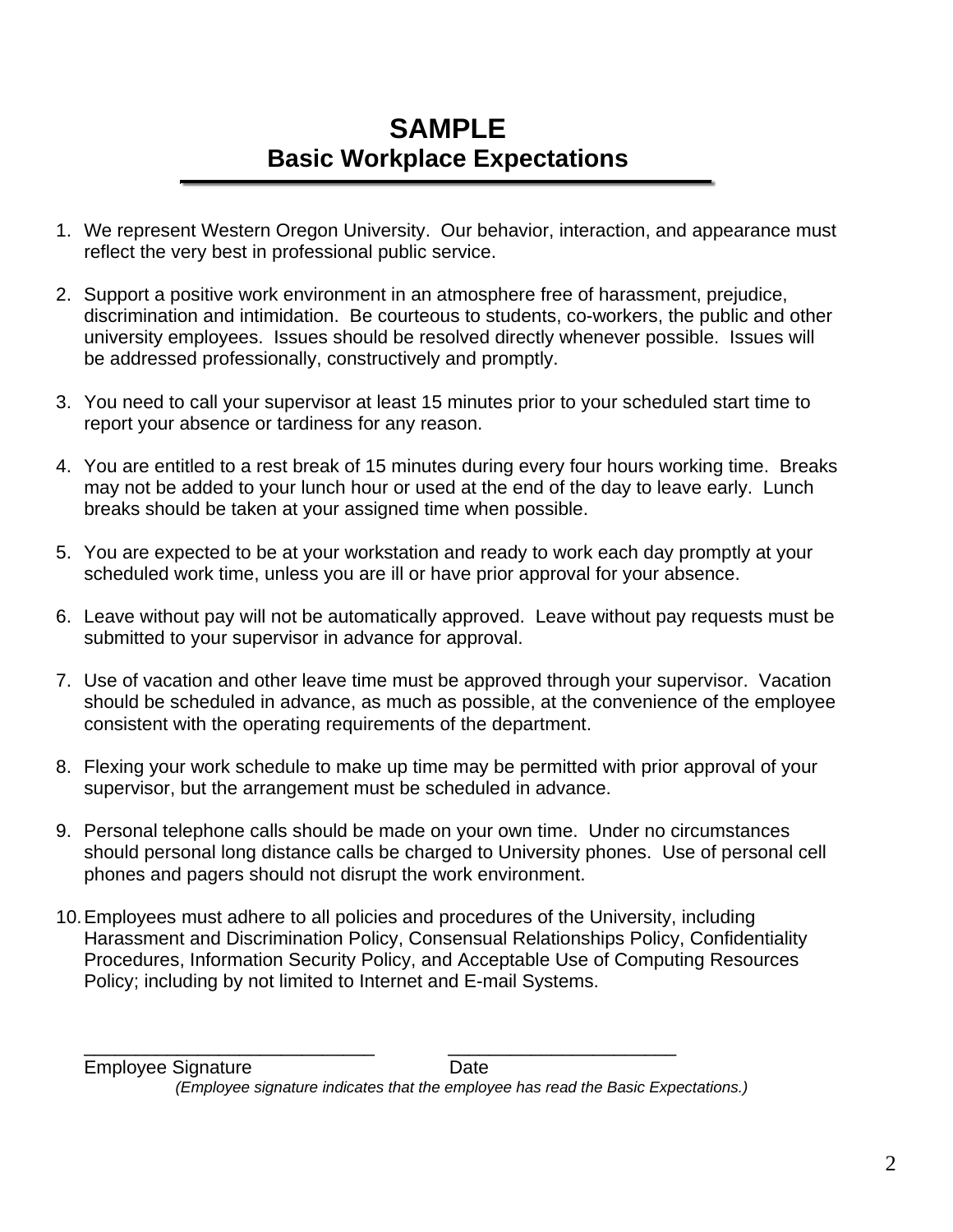# **SAMPLE Basic Workplace Expectations**

- 1. We represent Western Oregon University. Our behavior, interaction, and appearance must reflect the very best in professional public service.
- 2. Support a positive work environment in an atmosphere free of harassment, prejudice, discrimination and intimidation. Be courteous to students, co-workers, the public and other university employees. Issues should be resolved directly whenever possible. Issues will be addressed professionally, constructively and promptly.
- 3. You need to call your supervisor at least 15 minutes prior to your scheduled start time to report your absence or tardiness for any reason.
- 4. You are entitled to a rest break of 15 minutes during every four hours working time. Breaks may not be added to your lunch hour or used at the end of the day to leave early. Lunch breaks should be taken at your assigned time when possible.
- 5. You are expected to be at your workstation and ready to work each day promptly at your scheduled work time, unless you are ill or have prior approval for your absence.
- 6. Leave without pay will not be automatically approved. Leave without pay requests must be submitted to your supervisor in advance for approval.
- 7. Use of vacation and other leave time must be approved through your supervisor. Vacation should be scheduled in advance, as much as possible, at the convenience of the employee consistent with the operating requirements of the department.
- 8. Flexing your work schedule to make up time may be permitted with prior approval of your supervisor, but the arrangement must be scheduled in advance.
- 9. Personal telephone calls should be made on your own time. Under no circumstances should personal long distance calls be charged to University phones. Use of personal cell phones and pagers should not disrupt the work environment.
- 10. Employees must adhere to all policies and procedures of the University, including Harassment and Discrimination Policy, Consensual Relationships Policy, Confidentiality Procedures, Information Security Policy, and Acceptable Use of Computing Resources Policy; including by not limited to Internet and E-mail Systems.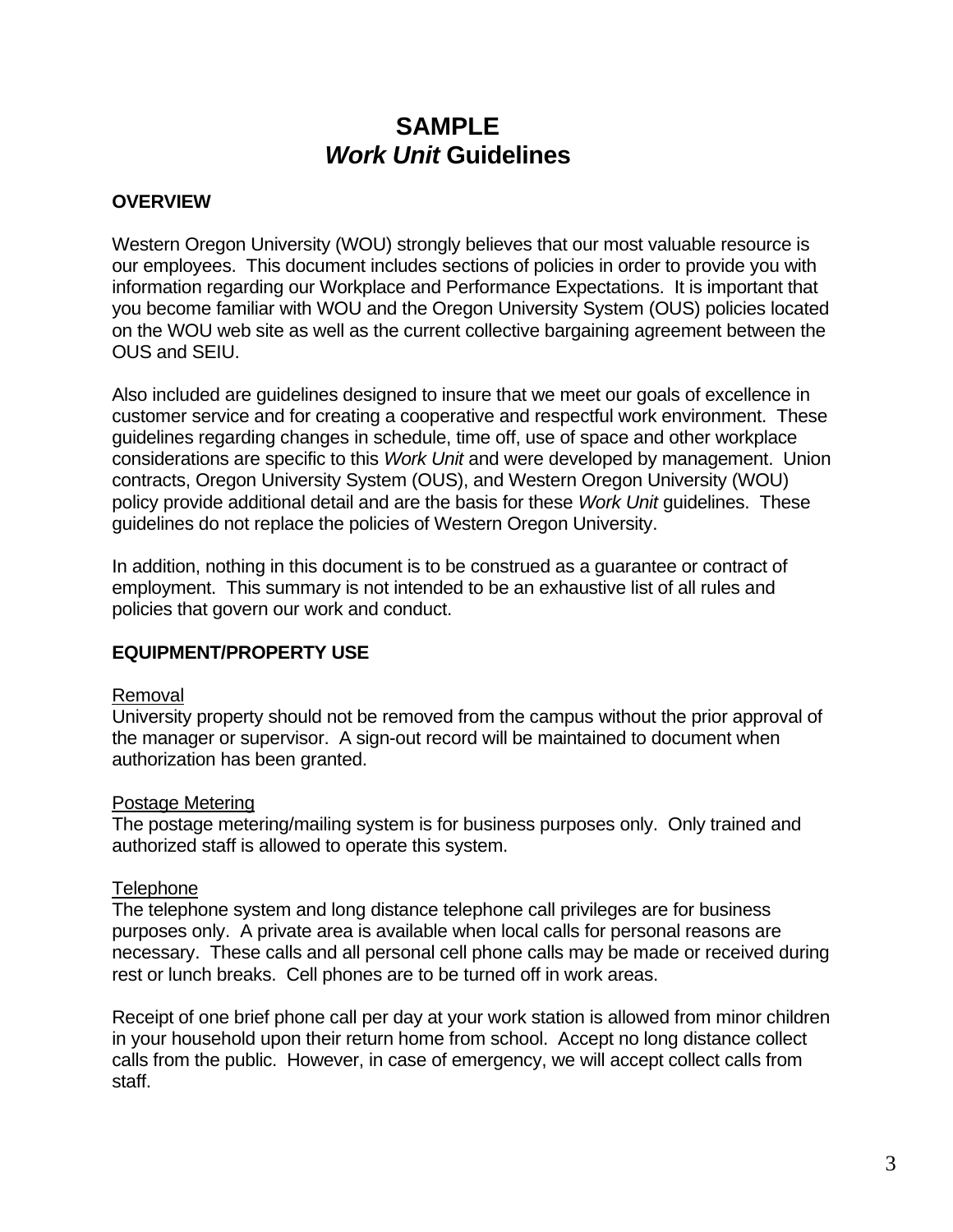# **SAMPLE** *Work Unit* **Guidelines**

#### **OVERVIEW**

Western Oregon University (WOU) strongly believes that our most valuable resource is our employees. This document includes sections of policies in order to provide you with information regarding our Workplace and Performance Expectations. It is important that you become familiar with WOU and the Oregon University System (OUS) policies located on the WOU web site as well as the current collective bargaining agreement between the OUS and SEIU.

Also included are guidelines designed to insure that we meet our goals of excellence in customer service and for creating a cooperative and respectful work environment. These guidelines regarding changes in schedule, time off, use of space and other workplace considerations are specific to this *Work Unit* and were developed by management. Union contracts, Oregon University System (OUS), and Western Oregon University (WOU) policy provide additional detail and are the basis for these *Work Unit* guidelines. These guidelines do not replace the policies of Western Oregon University.

In addition, nothing in this document is to be construed as a guarantee or contract of employment. This summary is not intended to be an exhaustive list of all rules and policies that govern our work and conduct.

#### **EQUIPMENT/PROPERTY USE**

#### Removal

University property should not be removed from the campus without the prior approval of the manager or supervisor. A sign-out record will be maintained to document when authorization has been granted.

#### Postage Metering

The postage metering/mailing system is for business purposes only. Only trained and authorized staff is allowed to operate this system.

#### **Telephone**

The telephone system and long distance telephone call privileges are for business purposes only. A private area is available when local calls for personal reasons are necessary. These calls and all personal cell phone calls may be made or received during rest or lunch breaks. Cell phones are to be turned off in work areas.

Receipt of one brief phone call per day at your work station is allowed from minor children in your household upon their return home from school. Accept no long distance collect calls from the public. However, in case of emergency, we will accept collect calls from staff.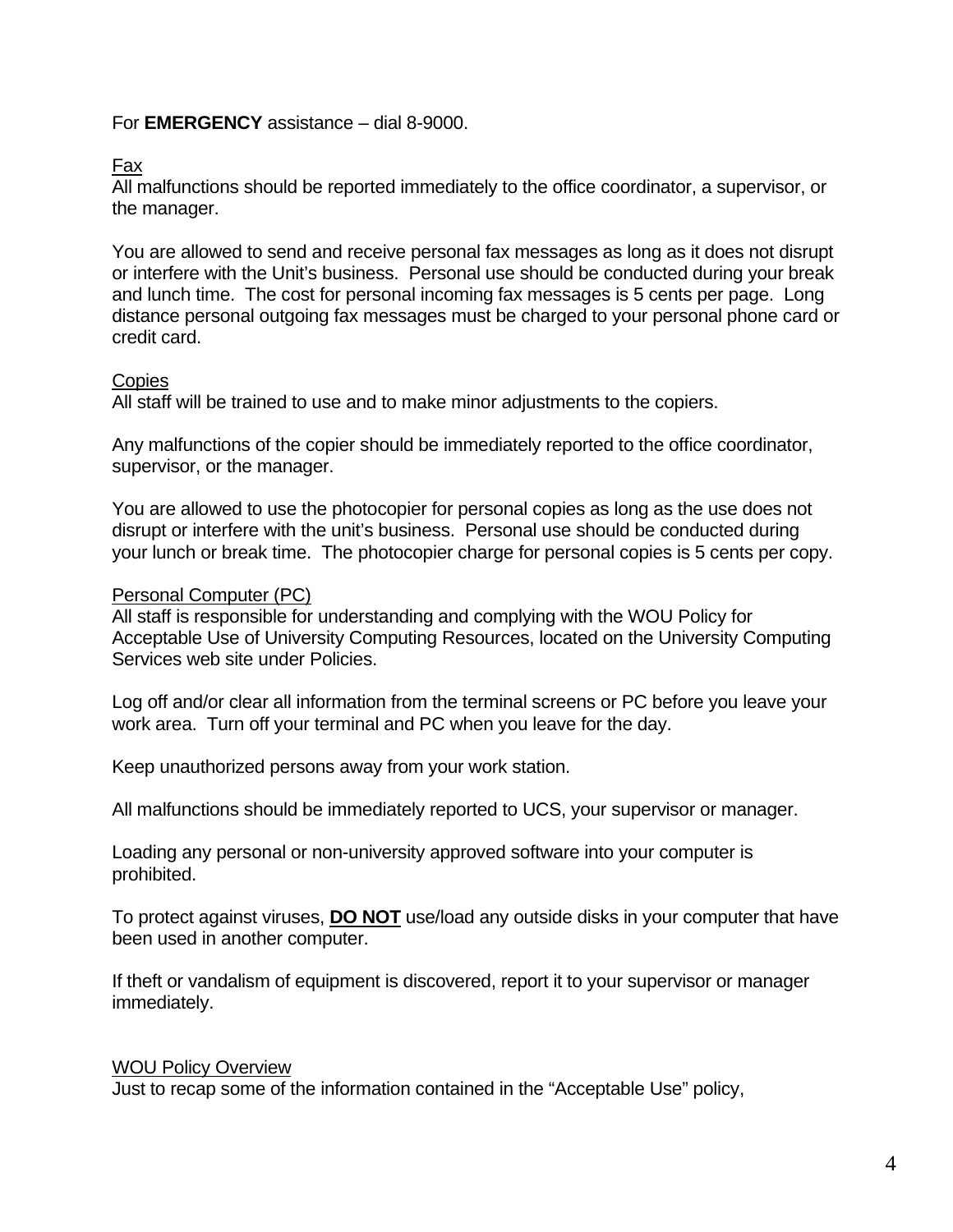#### For **EMERGENCY** assistance – dial 8-9000.

#### Fax

All malfunctions should be reported immediately to the office coordinator, a supervisor, or the manager.

You are allowed to send and receive personal fax messages as long as it does not disrupt or interfere with the Unit's business. Personal use should be conducted during your break and lunch time. The cost for personal incoming fax messages is 5 cents per page. Long distance personal outgoing fax messages must be charged to your personal phone card or credit card.

#### **Copies**

All staff will be trained to use and to make minor adjustments to the copiers.

Any malfunctions of the copier should be immediately reported to the office coordinator, supervisor, or the manager.

You are allowed to use the photocopier for personal copies as long as the use does not disrupt or interfere with the unit's business. Personal use should be conducted during your lunch or break time. The photocopier charge for personal copies is 5 cents per copy.

#### Personal Computer (PC)

All staff is responsible for understanding and complying with the WOU Policy for Acceptable Use of University Computing Resources, located on the University Computing Services web site under Policies.

Log off and/or clear all information from the terminal screens or PC before you leave your work area. Turn off your terminal and PC when you leave for the day.

Keep unauthorized persons away from your work station.

All malfunctions should be immediately reported to UCS, your supervisor or manager.

Loading any personal or non-university approved software into your computer is prohibited.

To protect against viruses, **DO NOT** use/load any outside disks in your computer that have been used in another computer.

If theft or vandalism of equipment is discovered, report it to your supervisor or manager immediately.

#### WOU Policy Overview

Just to recap some of the information contained in the "Acceptable Use" policy,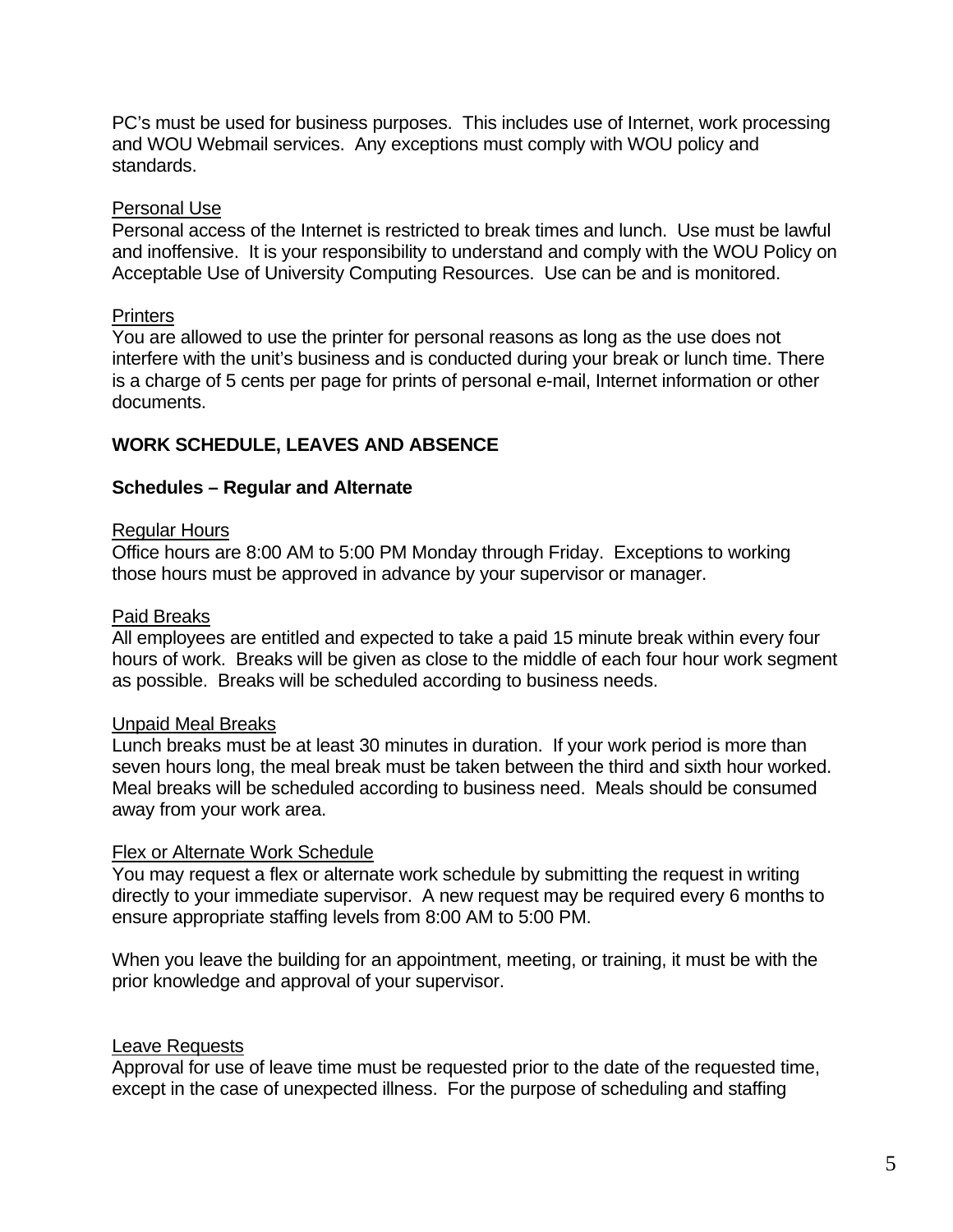PC's must be used for business purposes. This includes use of Internet, work processing and WOU Webmail services. Any exceptions must comply with WOU policy and standards.

#### Personal Use

Personal access of the Internet is restricted to break times and lunch. Use must be lawful and inoffensive. It is your responsibility to understand and comply with the WOU Policy on Acceptable Use of University Computing Resources. Use can be and is monitored.

#### **Printers**

You are allowed to use the printer for personal reasons as long as the use does not interfere with the unit's business and is conducted during your break or lunch time. There is a charge of 5 cents per page for prints of personal e-mail, Internet information or other documents.

#### **WORK SCHEDULE, LEAVES AND ABSENCE**

#### **Schedules – Regular and Alternate**

#### Regular Hours

Office hours are 8:00 AM to 5:00 PM Monday through Friday. Exceptions to working those hours must be approved in advance by your supervisor or manager.

#### Paid Breaks

All employees are entitled and expected to take a paid 15 minute break within every four hours of work. Breaks will be given as close to the middle of each four hour work segment as possible. Breaks will be scheduled according to business needs.

#### Unpaid Meal Breaks

Lunch breaks must be at least 30 minutes in duration. If your work period is more than seven hours long, the meal break must be taken between the third and sixth hour worked. Meal breaks will be scheduled according to business need. Meals should be consumed away from your work area.

#### Flex or Alternate Work Schedule

You may request a flex or alternate work schedule by submitting the request in writing directly to your immediate supervisor. A new request may be required every 6 months to ensure appropriate staffing levels from 8:00 AM to 5:00 PM.

When you leave the building for an appointment, meeting, or training, it must be with the prior knowledge and approval of your supervisor.

#### Leave Requests

Approval for use of leave time must be requested prior to the date of the requested time, except in the case of unexpected illness. For the purpose of scheduling and staffing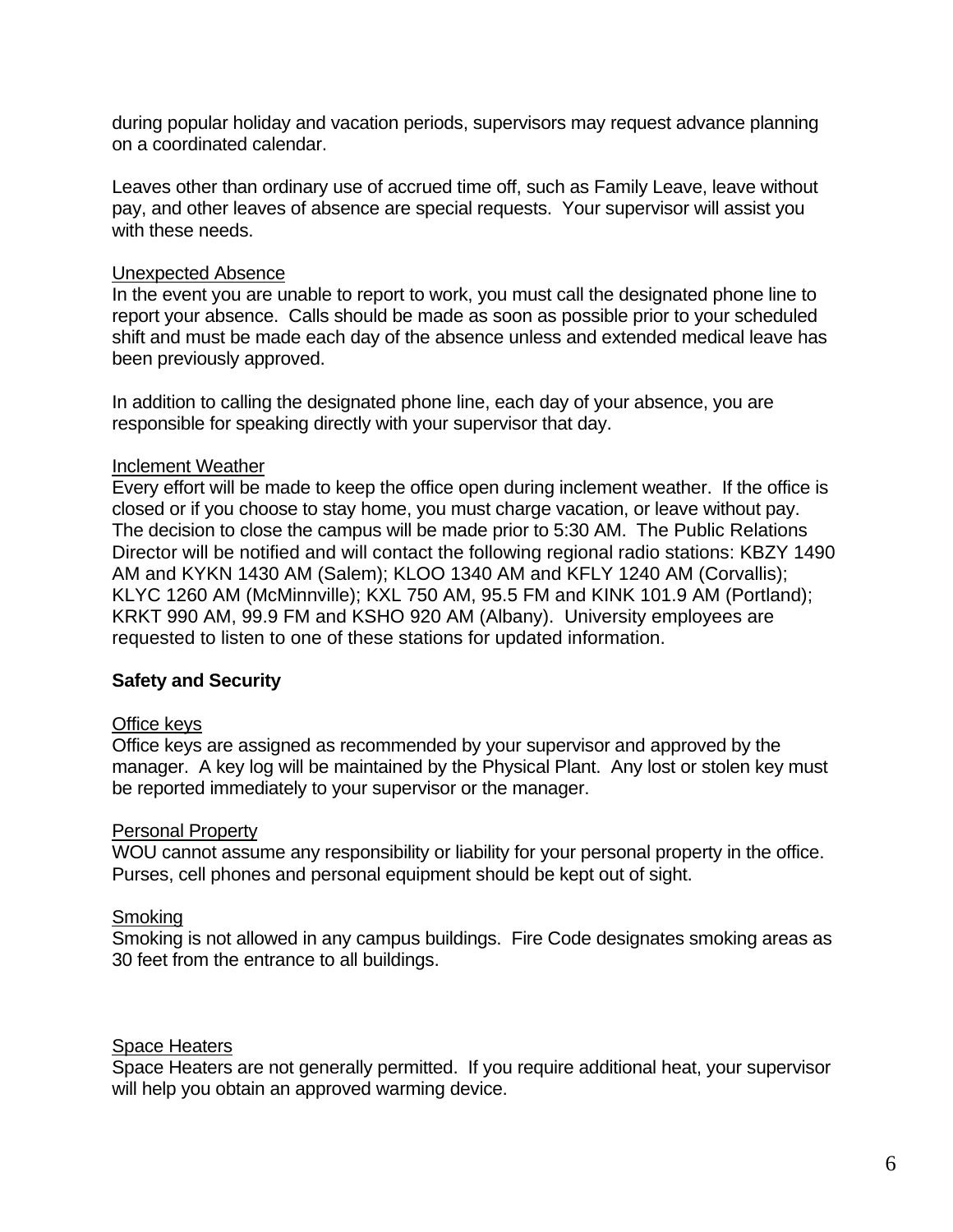during popular holiday and vacation periods, supervisors may request advance planning on a coordinated calendar.

Leaves other than ordinary use of accrued time off, such as Family Leave, leave without pay, and other leaves of absence are special requests. Your supervisor will assist you with these needs.

#### Unexpected Absence

In the event you are unable to report to work, you must call the designated phone line to report your absence. Calls should be made as soon as possible prior to your scheduled shift and must be made each day of the absence unless and extended medical leave has been previously approved.

In addition to calling the designated phone line, each day of your absence, you are responsible for speaking directly with your supervisor that day.

#### Inclement Weather

Every effort will be made to keep the office open during inclement weather. If the office is closed or if you choose to stay home, you must charge vacation, or leave without pay. The decision to close the campus will be made prior to 5:30 AM. The Public Relations Director will be notified and will contact the following regional radio stations: KBZY 1490 AM and KYKN 1430 AM (Salem); KLOO 1340 AM and KFLY 1240 AM (Corvallis); KLYC 1260 AM (McMinnville); KXL 750 AM, 95.5 FM and KINK 101.9 AM (Portland); KRKT 990 AM, 99.9 FM and KSHO 920 AM (Albany). University employees are requested to listen to one of these stations for updated information.

#### **Safety and Security**

#### Office keys

Office keys are assigned as recommended by your supervisor and approved by the manager. A key log will be maintained by the Physical Plant. Any lost or stolen key must be reported immediately to your supervisor or the manager.

#### Personal Property

WOU cannot assume any responsibility or liability for your personal property in the office. Purses, cell phones and personal equipment should be kept out of sight.

#### **Smoking**

Smoking is not allowed in any campus buildings. Fire Code designates smoking areas as 30 feet from the entrance to all buildings.

#### Space Heaters

Space Heaters are not generally permitted. If you require additional heat, your supervisor will help you obtain an approved warming device.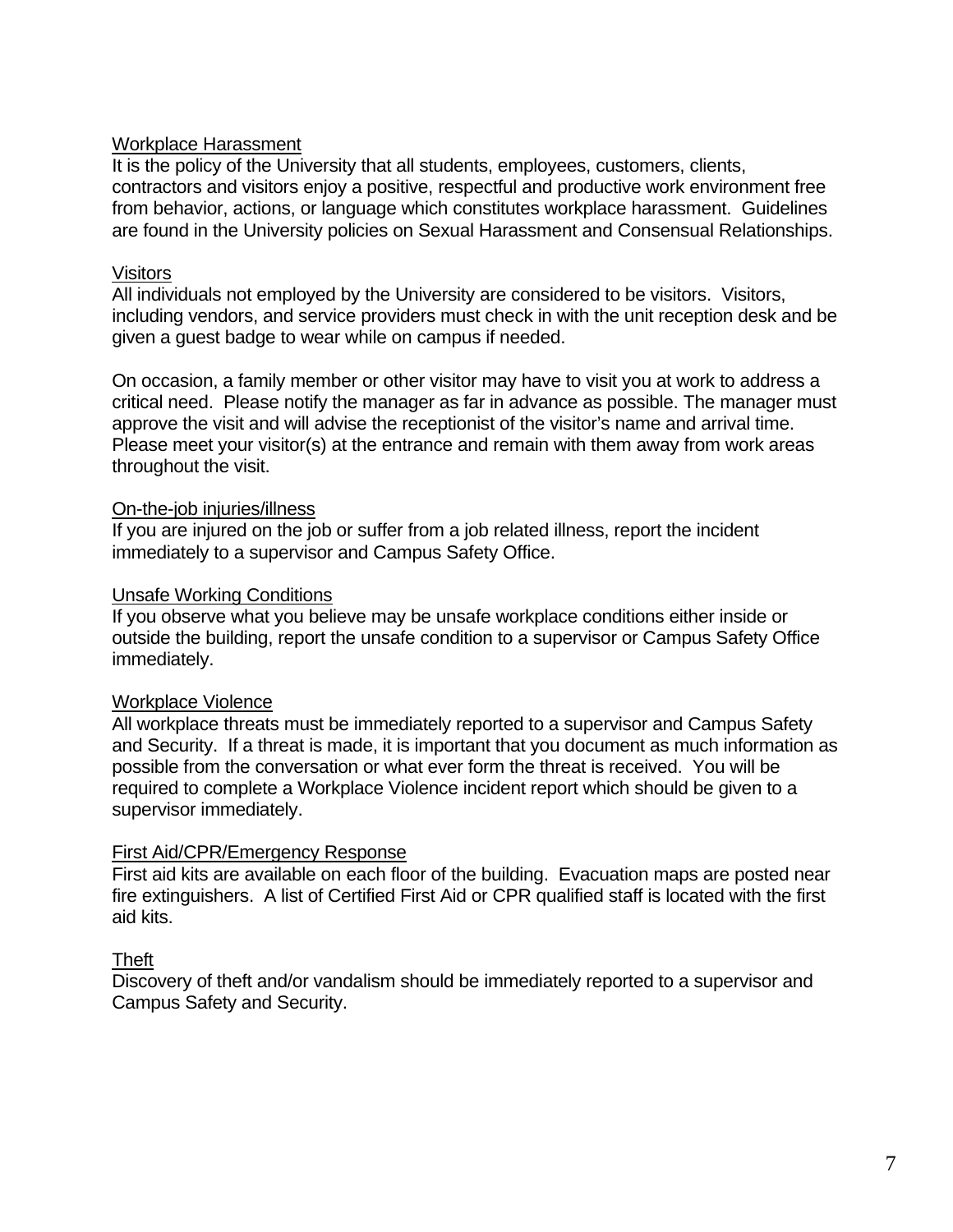#### Workplace Harassment

It is the policy of the University that all students, employees, customers, clients, contractors and visitors enjoy a positive, respectful and productive work environment free from behavior, actions, or language which constitutes workplace harassment. Guidelines are found in the University policies on Sexual Harassment and Consensual Relationships.

#### Visitors

All individuals not employed by the University are considered to be visitors. Visitors, including vendors, and service providers must check in with the unit reception desk and be given a guest badge to wear while on campus if needed.

On occasion, a family member or other visitor may have to visit you at work to address a critical need. Please notify the manager as far in advance as possible. The manager must approve the visit and will advise the receptionist of the visitor's name and arrival time. Please meet your visitor(s) at the entrance and remain with them away from work areas throughout the visit.

#### On-the-job injuries/illness

If you are injured on the job or suffer from a job related illness, report the incident immediately to a supervisor and Campus Safety Office.

#### Unsafe Working Conditions

If you observe what you believe may be unsafe workplace conditions either inside or outside the building, report the unsafe condition to a supervisor or Campus Safety Office immediately.

#### Workplace Violence

All workplace threats must be immediately reported to a supervisor and Campus Safety and Security. If a threat is made, it is important that you document as much information as possible from the conversation or what ever form the threat is received. You will be required to complete a Workplace Violence incident report which should be given to a supervisor immediately.

#### First Aid/CPR/Emergency Response

First aid kits are available on each floor of the building. Evacuation maps are posted near fire extinguishers. A list of Certified First Aid or CPR qualified staff is located with the first aid kits.

#### Theft

Discovery of theft and/or vandalism should be immediately reported to a supervisor and Campus Safety and Security.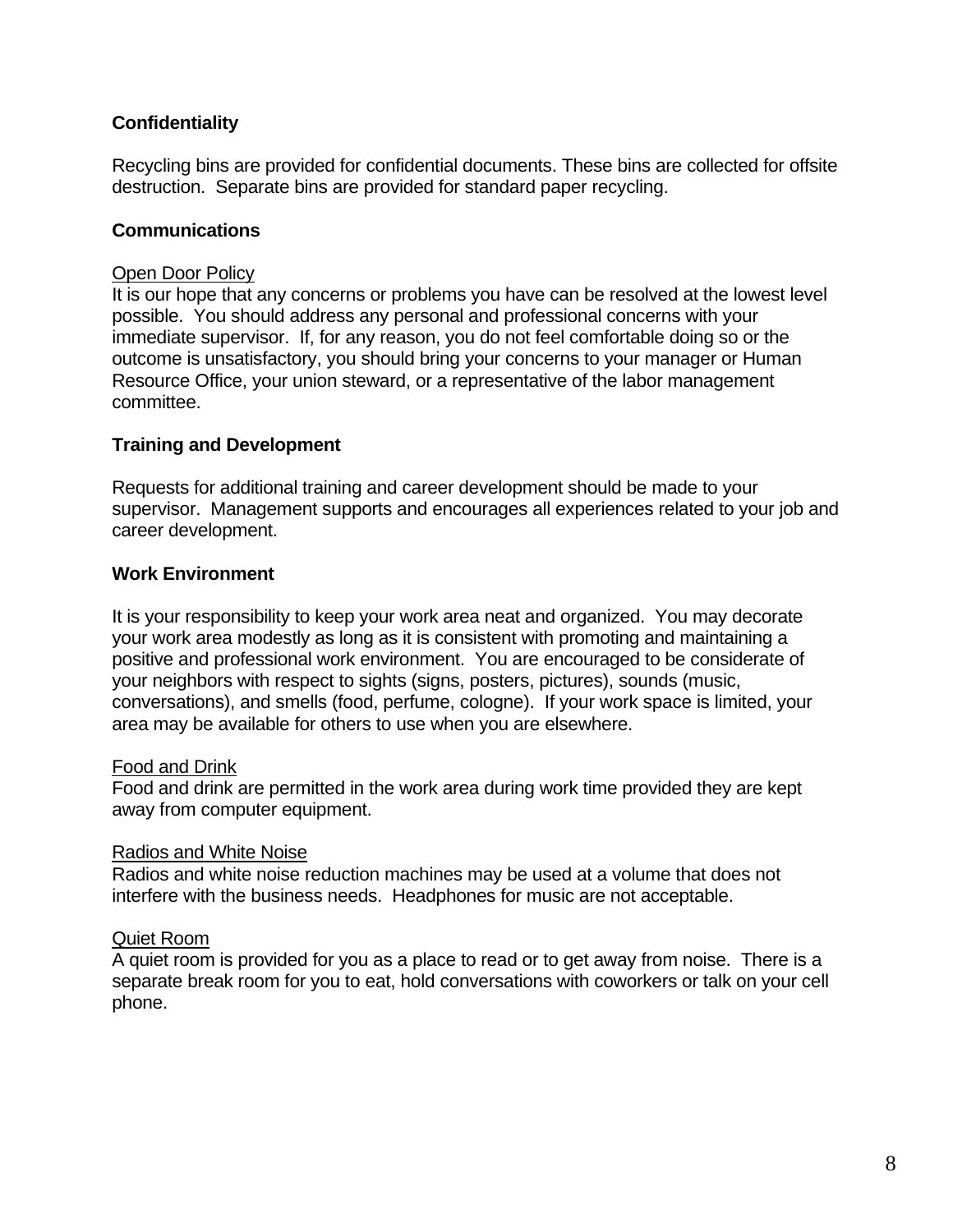#### **Confidentiality**

Recycling bins are provided for confidential documents. These bins are collected for offsite destruction. Separate bins are provided for standard paper recycling.

#### **Communications**

#### Open Door Policy

It is our hope that any concerns or problems you have can be resolved at the lowest level possible. You should address any personal and professional concerns with your immediate supervisor. If, for any reason, you do not feel comfortable doing so or the outcome is unsatisfactory, you should bring your concerns to your manager or Human Resource Office, your union steward, or a representative of the labor management committee.

#### **Training and Development**

Requests for additional training and career development should be made to your supervisor. Management supports and encourages all experiences related to your job and career development.

#### **Work Environment**

It is your responsibility to keep your work area neat and organized. You may decorate your work area modestly as long as it is consistent with promoting and maintaining a positive and professional work environment. You are encouraged to be considerate of your neighbors with respect to sights (signs, posters, pictures), sounds (music, conversations), and smells (food, perfume, cologne). If your work space is limited, your area may be available for others to use when you are elsewhere.

#### Food and Drink

Food and drink are permitted in the work area during work time provided they are kept away from computer equipment.

#### Radios and White Noise

Radios and white noise reduction machines may be used at a volume that does not interfere with the business needs. Headphones for music are not acceptable.

#### Quiet Room

A quiet room is provided for you as a place to read or to get away from noise. There is a separate break room for you to eat, hold conversations with coworkers or talk on your cell phone.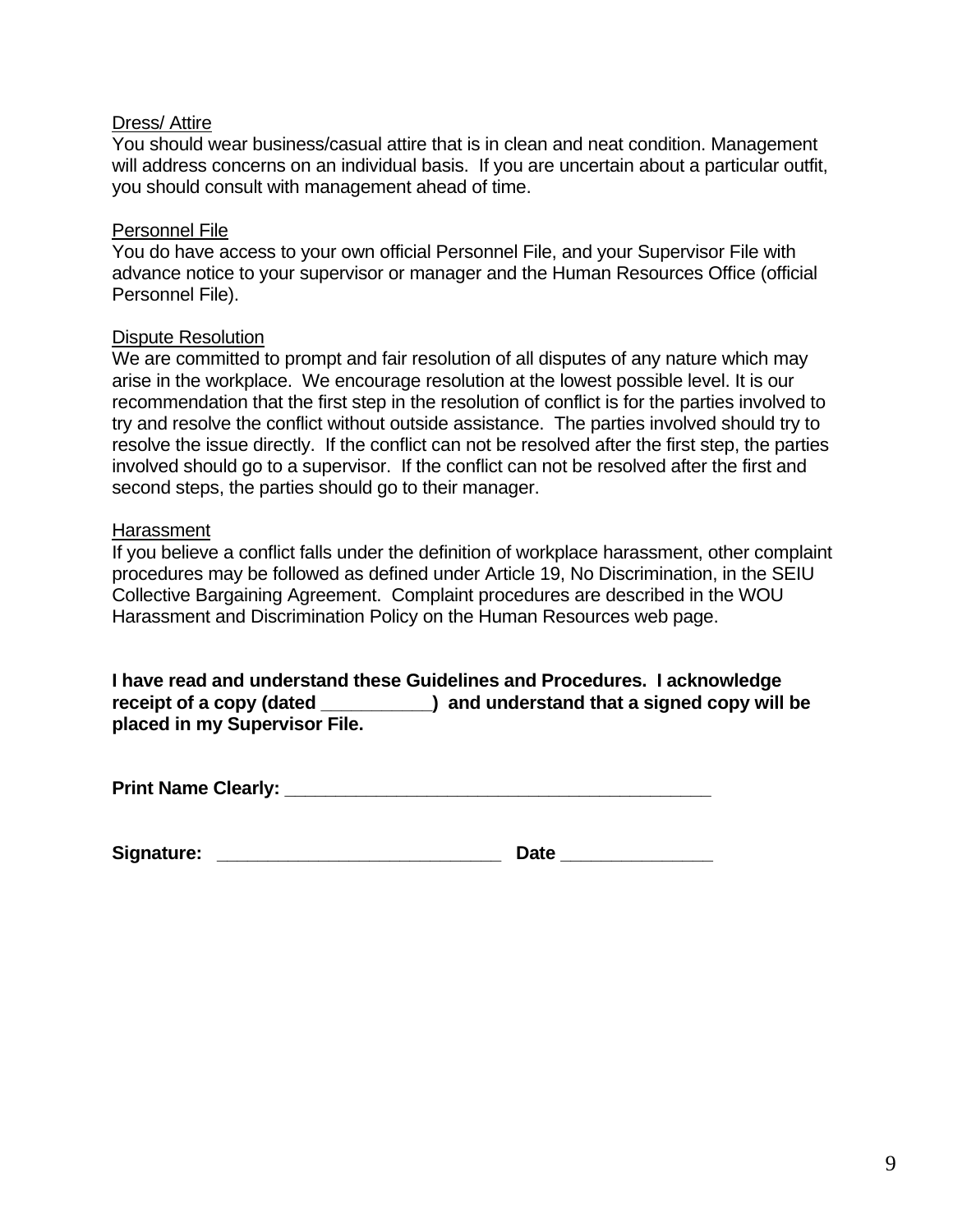#### Dress/ Attire

You should wear business/casual attire that is in clean and neat condition. Management will address concerns on an individual basis. If you are uncertain about a particular outfit, you should consult with management ahead of time.

#### Personnel File

You do have access to your own official Personnel File, and your Supervisor File with advance notice to your supervisor or manager and the Human Resources Office (official Personnel File).

#### Dispute Resolution

We are committed to prompt and fair resolution of all disputes of any nature which may arise in the workplace. We encourage resolution at the lowest possible level. It is our recommendation that the first step in the resolution of conflict is for the parties involved to try and resolve the conflict without outside assistance. The parties involved should try to resolve the issue directly. If the conflict can not be resolved after the first step, the parties involved should go to a supervisor. If the conflict can not be resolved after the first and second steps, the parties should go to their manager.

#### **Harassment**

If you believe a conflict falls under the definition of workplace harassment, other complaint procedures may be followed as defined under Article 19, No Discrimination, in the SEIU Collective Bargaining Agreement. Complaint procedures are described in the WOU Harassment and Discrimination Policy on the Human Resources web page.

**I have read and understand these Guidelines and Procedures. I acknowledge receipt of a copy (dated \_\_\_\_\_\_\_\_\_\_\_) and understand that a signed copy will be placed in my Supervisor File.** 

**Print Name Clearly:**  $\blacksquare$ 

| Signature: | Date |
|------------|------|
|------------|------|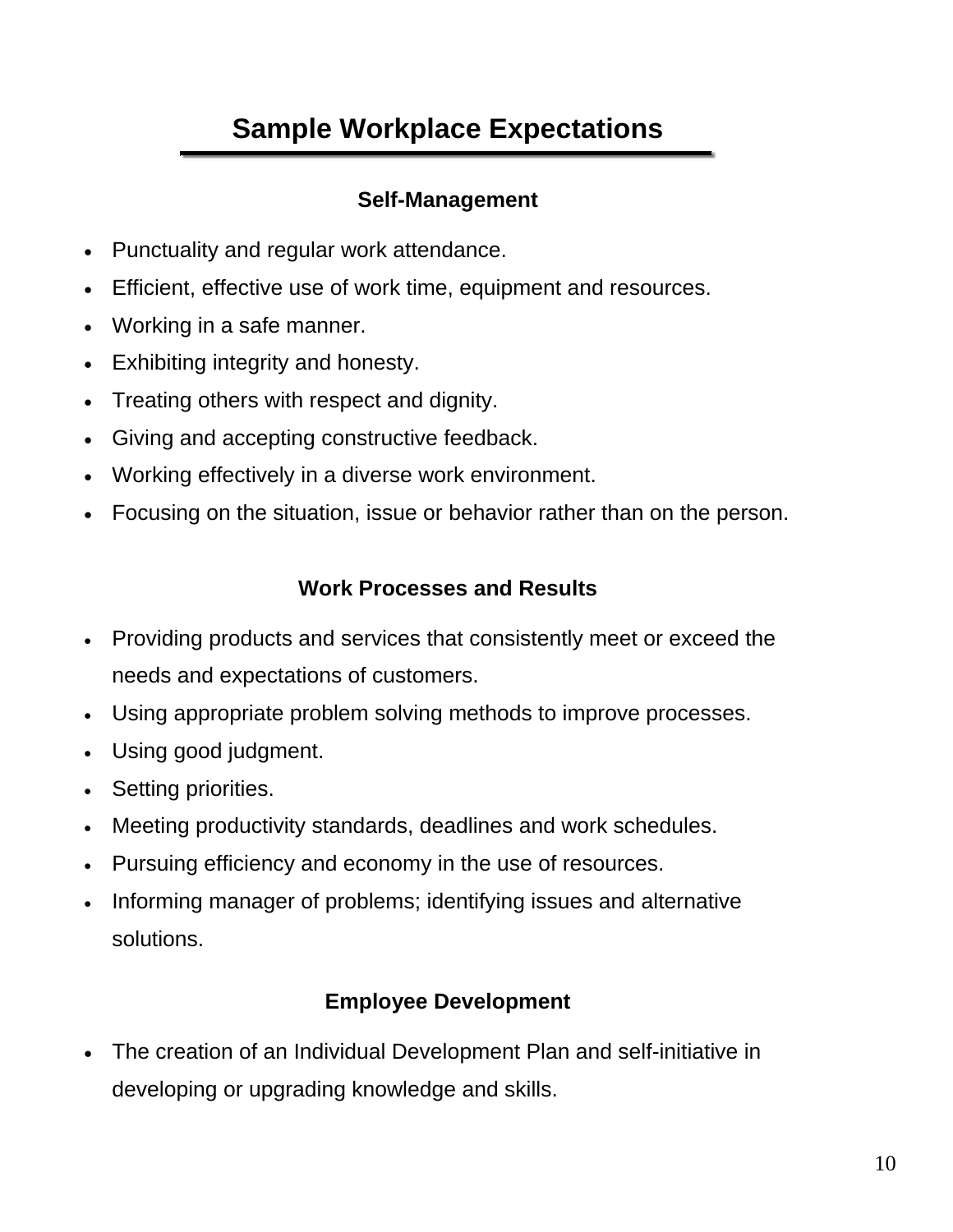# **Sample Workplace Expectations**

## **Self-Management**

- Punctuality and regular work attendance.
- Efficient, effective use of work time, equipment and resources.
- Working in a safe manner.
- Exhibiting integrity and honesty.
- Treating others with respect and dignity.
- Giving and accepting constructive feedback.
- Working effectively in a diverse work environment.
- Focusing on the situation, issue or behavior rather than on the person.

## **Work Processes and Results**

- Providing products and services that consistently meet or exceed the needs and expectations of customers.
- Using appropriate problem solving methods to improve processes.
- Using good judgment.
- Setting priorities.
- Meeting productivity standards, deadlines and work schedules.
- Pursuing efficiency and economy in the use of resources.
- Informing manager of problems; identifying issues and alternative solutions.

# **Employee Development**

 The creation of an Individual Development Plan and self-initiative in developing or upgrading knowledge and skills.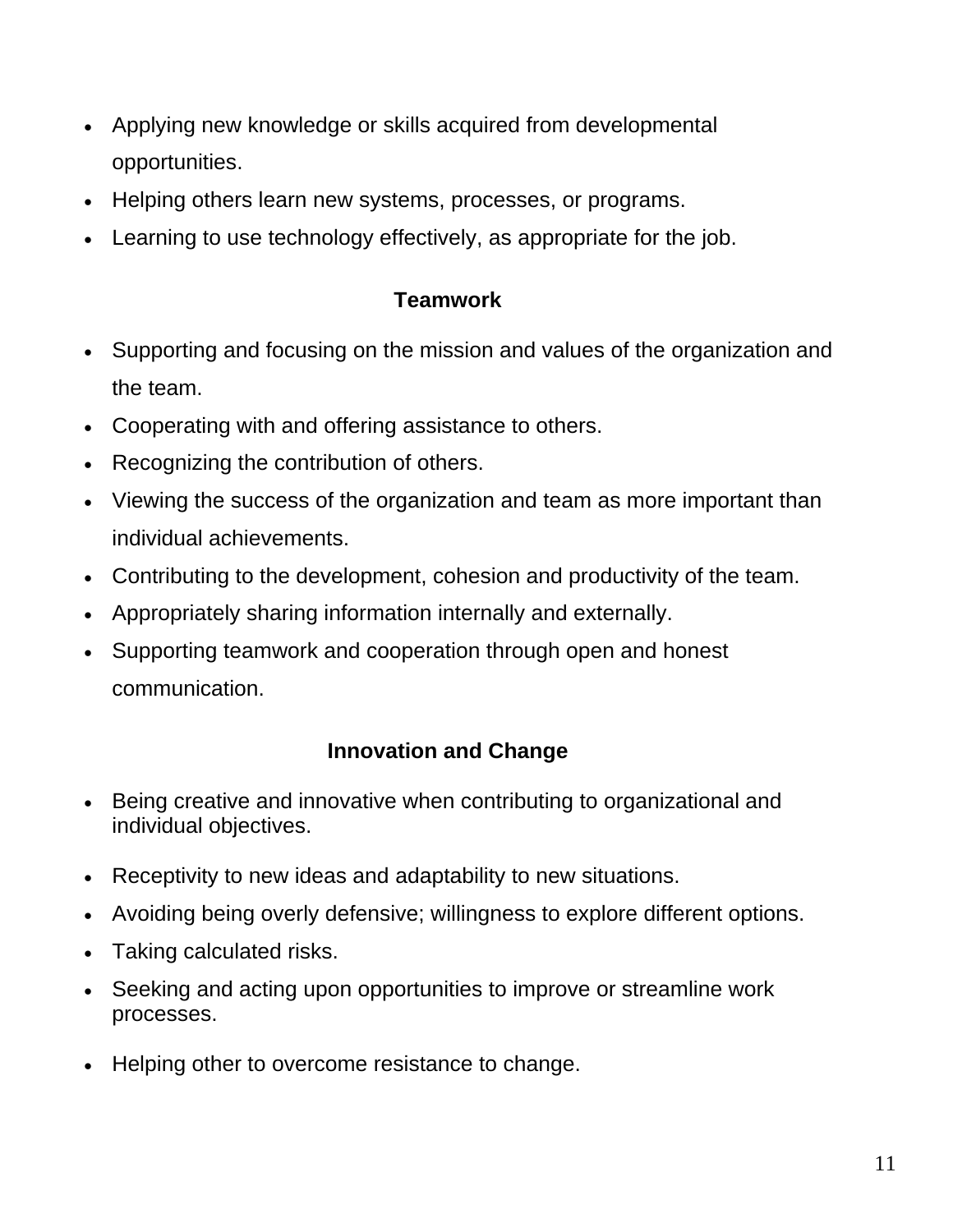- Applying new knowledge or skills acquired from developmental opportunities.
- Helping others learn new systems, processes, or programs.
- Learning to use technology effectively, as appropriate for the job.

## **Teamwork**

- Supporting and focusing on the mission and values of the organization and the team.
- Cooperating with and offering assistance to others.
- Recognizing the contribution of others.
- Viewing the success of the organization and team as more important than individual achievements.
- Contributing to the development, cohesion and productivity of the team.
- Appropriately sharing information internally and externally.
- Supporting teamwork and cooperation through open and honest communication.

# **Innovation and Change**

- Being creative and innovative when contributing to organizational and individual objectives.
- Receptivity to new ideas and adaptability to new situations.
- Avoiding being overly defensive; willingness to explore different options.
- Taking calculated risks.
- Seeking and acting upon opportunities to improve or streamline work processes.
- Helping other to overcome resistance to change.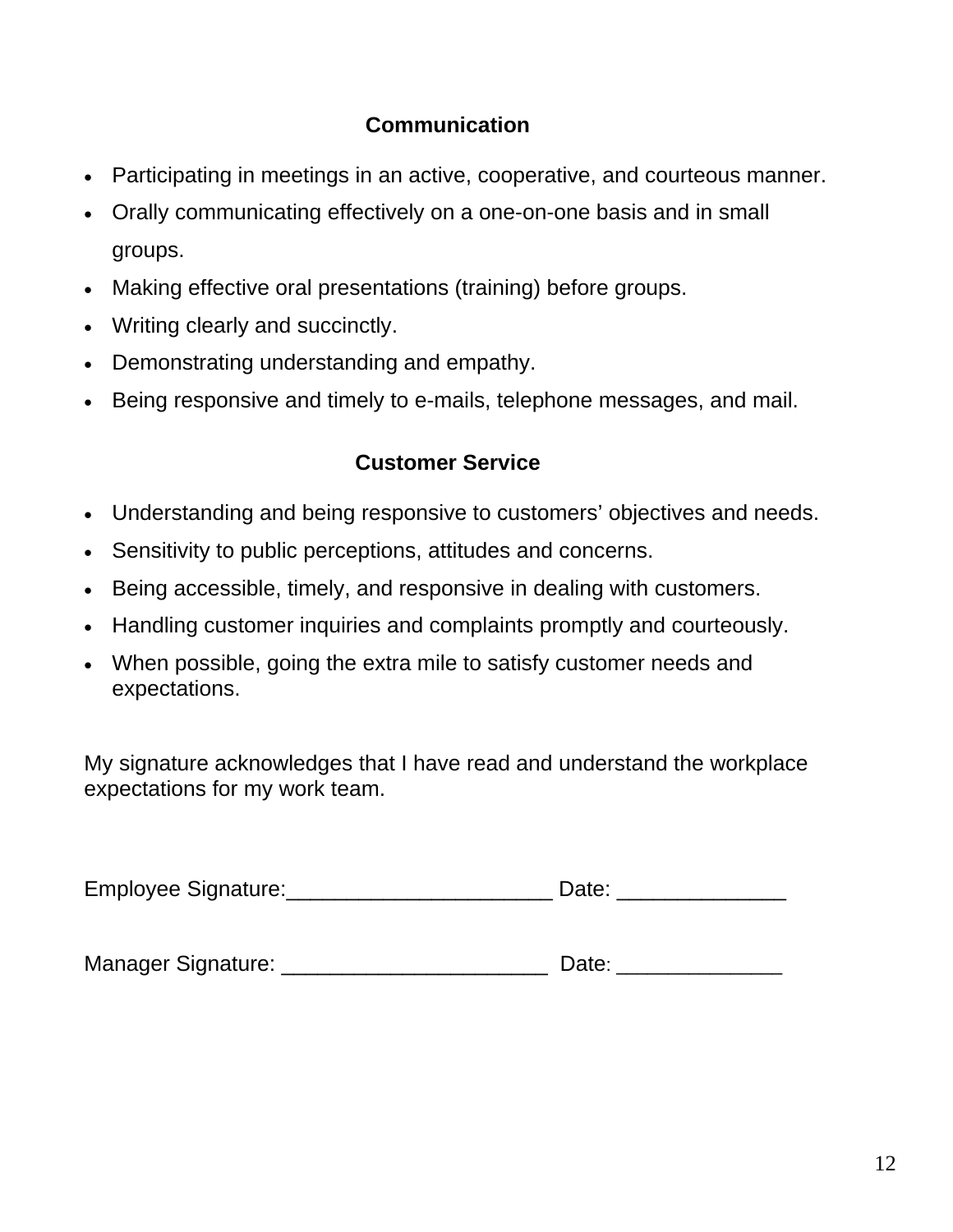## **Communication**

- Participating in meetings in an active, cooperative, and courteous manner.
- Orally communicating effectively on a one-on-one basis and in small groups.
- Making effective oral presentations (training) before groups.
- Writing clearly and succinctly.
- Demonstrating understanding and empathy.
- Being responsive and timely to e-mails, telephone messages, and mail.

## **Customer Service**

- Understanding and being responsive to customers' objectives and needs.
- Sensitivity to public perceptions, attitudes and concerns.
- Being accessible, timely, and responsive in dealing with customers.
- Handling customer inquiries and complaints promptly and courteously.
- When possible, going the extra mile to satisfy customer needs and expectations.

My signature acknowledges that I have read and understand the workplace expectations for my work team.

Employee Signature: \_\_\_\_\_\_\_\_\_\_\_\_\_\_\_\_\_\_\_\_\_\_\_\_\_\_\_\_\_\_\_\_ Date: \_\_\_\_\_\_\_\_\_\_\_\_\_\_\_\_\_\_\_\_\_

Manager Signature: \_\_\_\_\_\_\_\_\_\_\_\_\_\_\_\_\_\_\_\_\_\_\_\_\_\_\_\_\_\_\_\_\_ Date: \_\_\_\_\_\_\_\_\_\_\_\_\_\_\_\_\_\_\_\_\_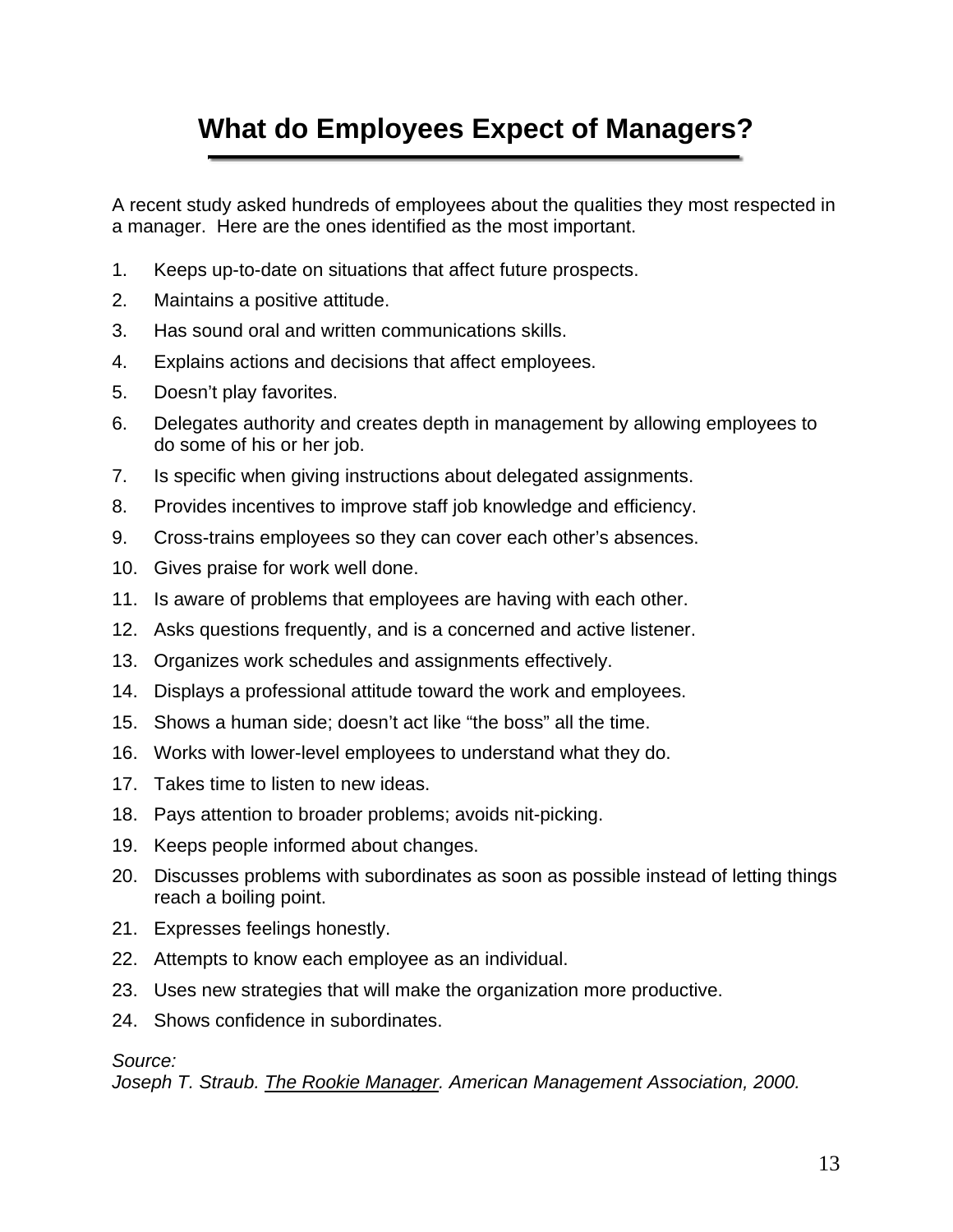# **What do Employees Expect of Managers?**

A recent study asked hundreds of employees about the qualities they most respected in a manager. Here are the ones identified as the most important.

- 1. Keeps up-to-date on situations that affect future prospects.
- 2. Maintains a positive attitude.
- 3. Has sound oral and written communications skills.
- 4. Explains actions and decisions that affect employees.
- 5. Doesn't play favorites.
- 6. Delegates authority and creates depth in management by allowing employees to do some of his or her job.
- 7. Is specific when giving instructions about delegated assignments.
- 8. Provides incentives to improve staff job knowledge and efficiency.
- 9. Cross-trains employees so they can cover each other's absences.
- 10. Gives praise for work well done.
- 11. Is aware of problems that employees are having with each other.
- 12. Asks questions frequently, and is a concerned and active listener.
- 13. Organizes work schedules and assignments effectively.
- 14. Displays a professional attitude toward the work and employees.
- 15. Shows a human side; doesn't act like "the boss" all the time.
- 16. Works with lower-level employees to understand what they do.
- 17. Takes time to listen to new ideas.
- 18. Pays attention to broader problems; avoids nit-picking.
- 19. Keeps people informed about changes.
- 20. Discusses problems with subordinates as soon as possible instead of letting things reach a boiling point.
- 21. Expresses feelings honestly.
- 22. Attempts to know each employee as an individual.
- 23. Uses new strategies that will make the organization more productive.
- 24. Shows confidence in subordinates.

#### *Source:*

Joseph T. Straub. The Rookie Manager. American Management Association, 2000.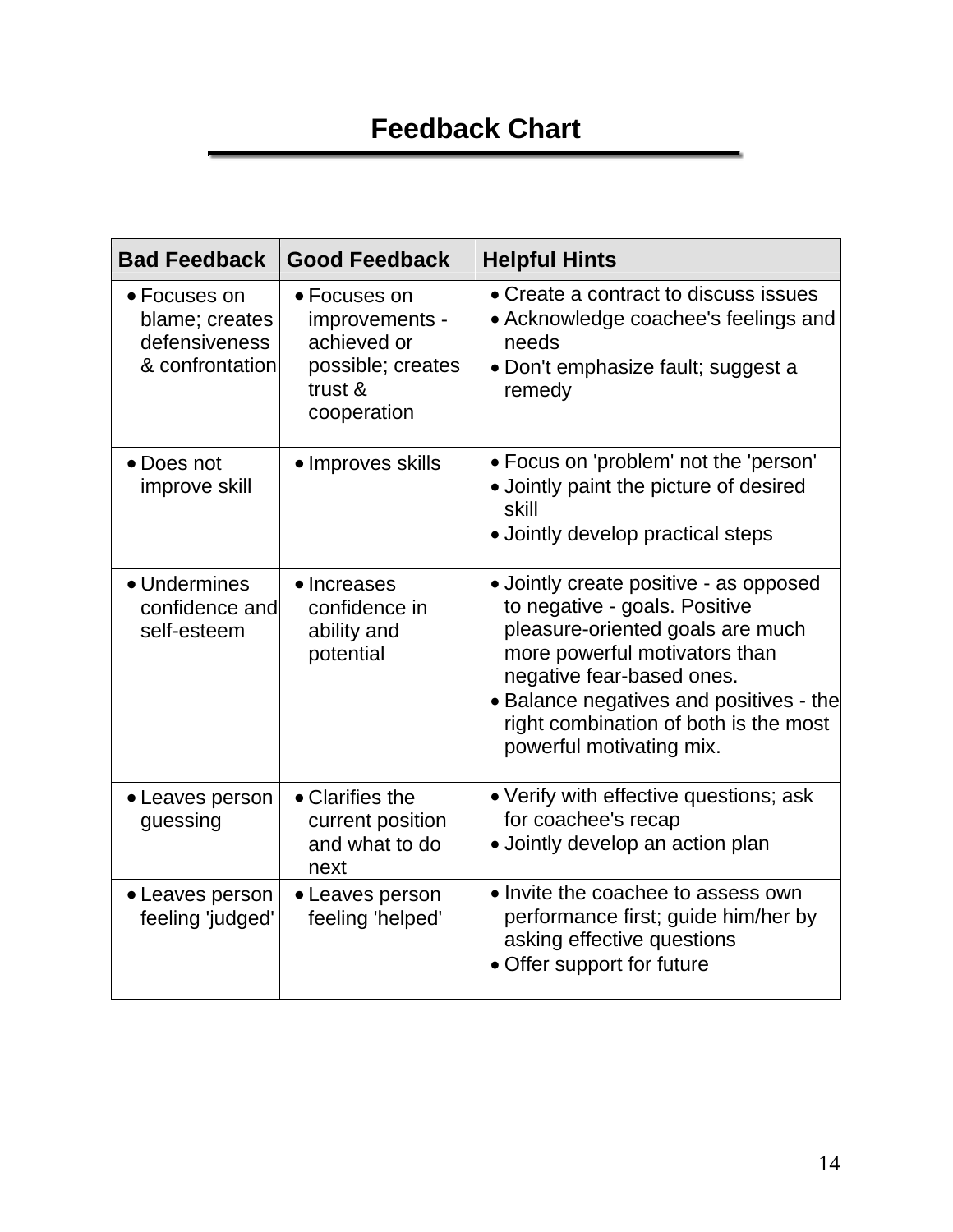# **Feedback Chart**

| <b>Bad Feedback</b>                                                | <b>Good Feedback</b>                                                                         | <b>Helpful Hints</b>                                                                                                                                                                                                                                                                      |
|--------------------------------------------------------------------|----------------------------------------------------------------------------------------------|-------------------------------------------------------------------------------------------------------------------------------------------------------------------------------------------------------------------------------------------------------------------------------------------|
| • Focuses on<br>blame; creates<br>defensiveness<br>& confrontation | • Focuses on<br>improvements -<br>achieved or<br>possible; creates<br>trust &<br>cooperation | • Create a contract to discuss issues<br>• Acknowledge coachee's feelings and<br>needs<br>• Don't emphasize fault; suggest a<br>remedy                                                                                                                                                    |
| • Does not<br><i>improve</i> skill                                 | • Improves skills                                                                            | • Focus on 'problem' not the 'person'<br>• Jointly paint the picture of desired<br>skill<br>• Jointly develop practical steps                                                                                                                                                             |
| • Undermines<br>confidence and<br>self-esteem                      | • Increases<br>confidence in<br>ability and<br>potential                                     | • Jointly create positive - as opposed<br>to negative - goals. Positive<br>pleasure-oriented goals are much<br>more powerful motivators than<br>negative fear-based ones.<br>• Balance negatives and positives - the<br>right combination of both is the most<br>powerful motivating mix. |
| • Leaves person<br>guessing                                        | • Clarifies the<br>current position<br>and what to do<br>next                                | • Verify with effective questions; ask<br>for coachee's recap<br>• Jointly develop an action plan                                                                                                                                                                                         |
| • Leaves person<br>feeling 'judged'                                | • Leaves person<br>feeling 'helped'                                                          | • Invite the coachee to assess own<br>performance first; guide him/her by<br>asking effective questions<br>• Offer support for future                                                                                                                                                     |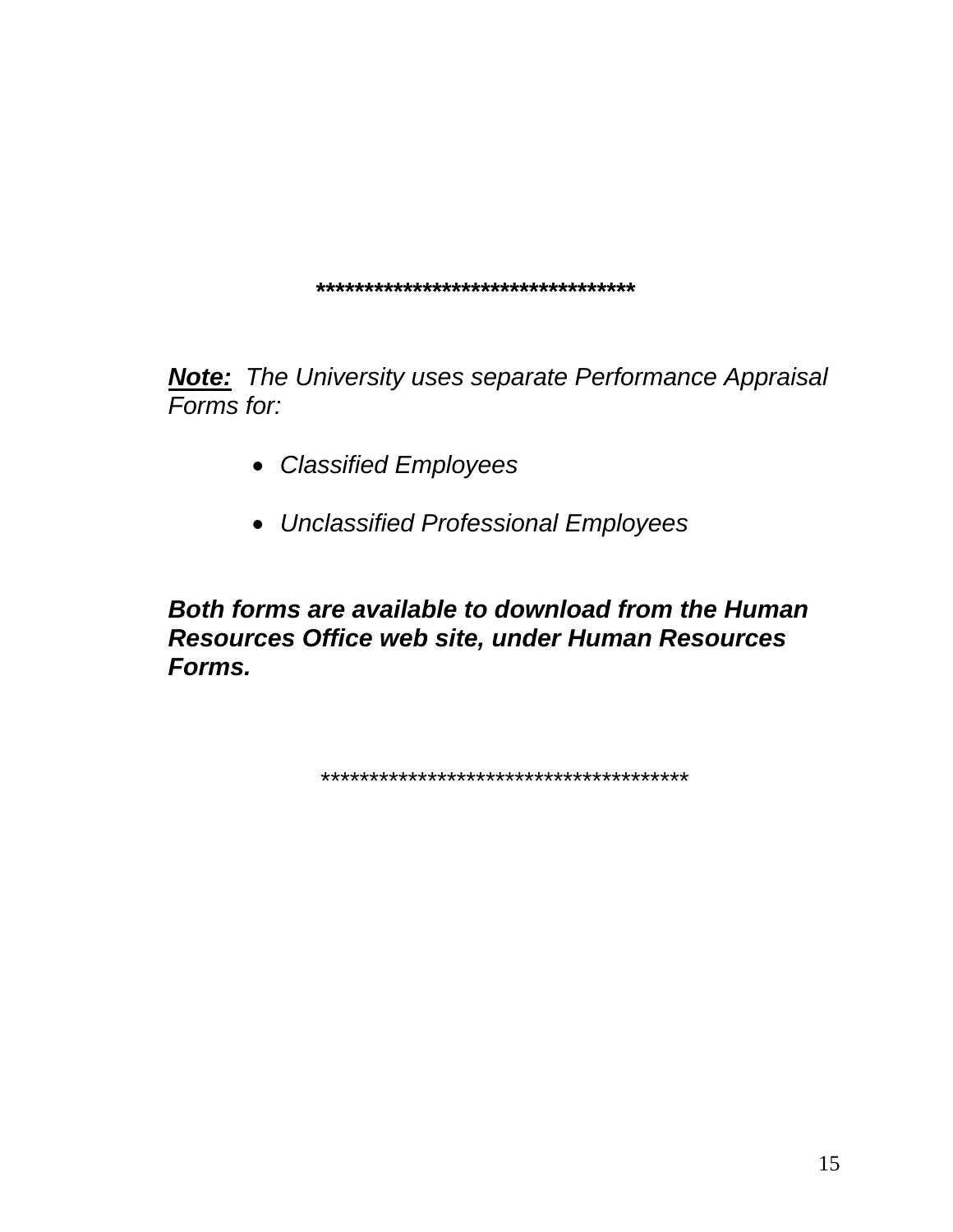**\*\*\*\*\*\*\*\*\*\*\*\*\*\*\*\*\*\*\*\*\*\*\*\*\*\*\*\*\*\*\*\*\*** 

*Note: The University uses separate Performance Appraisal Forms for:* 

- *Classified Employees*
- *Unclassified Professional Employees*

*Both forms are available to download from the Human Resources Office web site, under Human Resources Forms.* 

*\*\*\*\*\*\*\*\*\*\*\*\*\*\*\*\*\*\*\*\*\*\*\*\*\*\*\*\*\*\*\*\*\*\*\*\*\*\**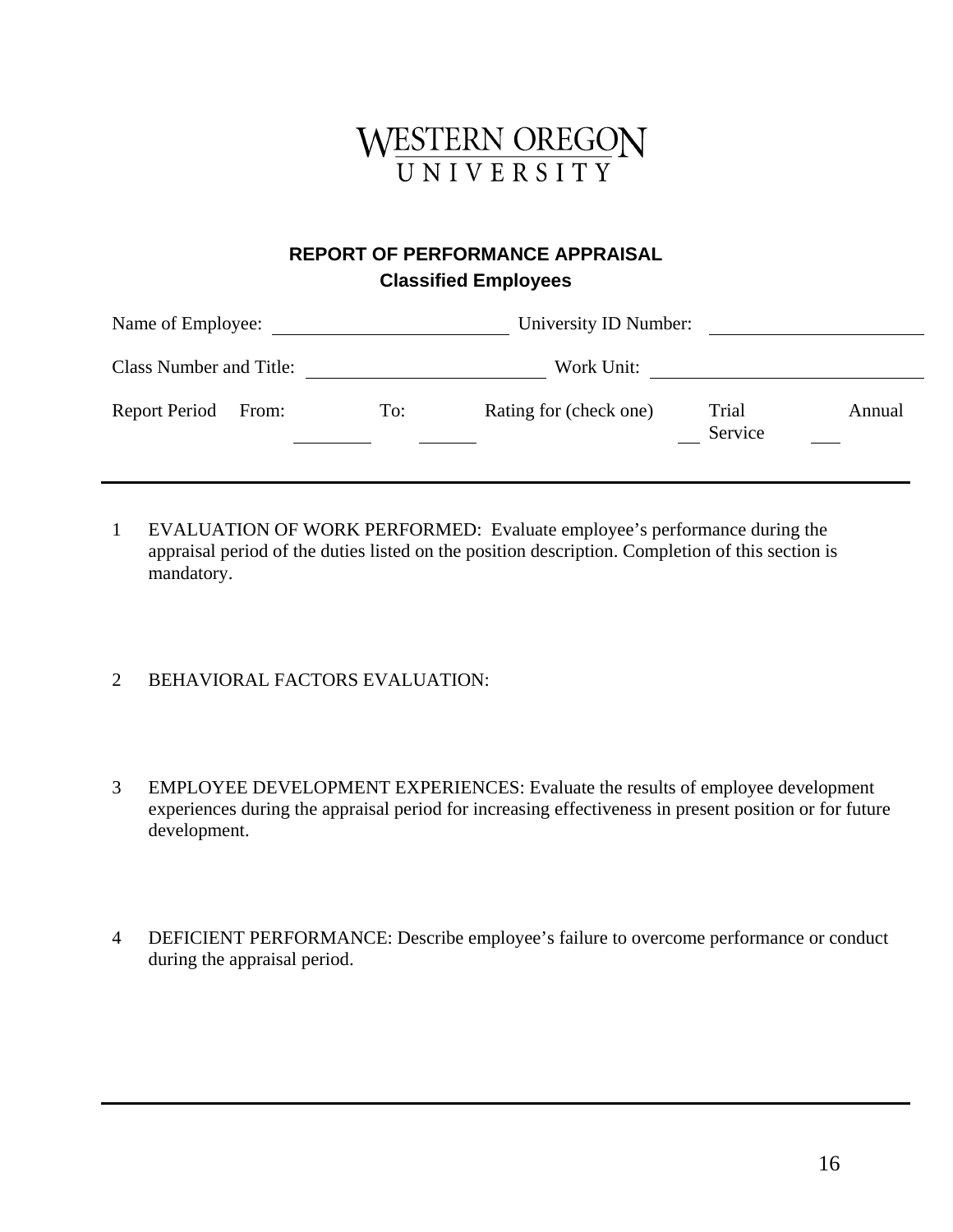# WESTERN OREGON

#### **REPORT OF PERFORMANCE APPRAISAL Classified Employees**

| Name of Employee:              |       |     | University ID Number:  |                  |        |
|--------------------------------|-------|-----|------------------------|------------------|--------|
| <b>Class Number and Title:</b> |       |     | Work Unit:             |                  |        |
| <b>Report Period</b>           | From: | To: | Rating for (check one) | Trial<br>Service | Annual |

- 1 EVALUATION OF WORK PERFORMED: Evaluate employee's performance during the appraisal period of the duties listed on the position description. Completion of this section is mandatory.
- 2 BEHAVIORAL FACTORS EVALUATION:
- 3 EMPLOYEE DEVELOPMENT EXPERIENCES: Evaluate the results of employee development experiences during the appraisal period for increasing effectiveness in present position or for future development.
- 4 DEFICIENT PERFORMANCE: Describe employee's failure to overcome performance or conduct during the appraisal period.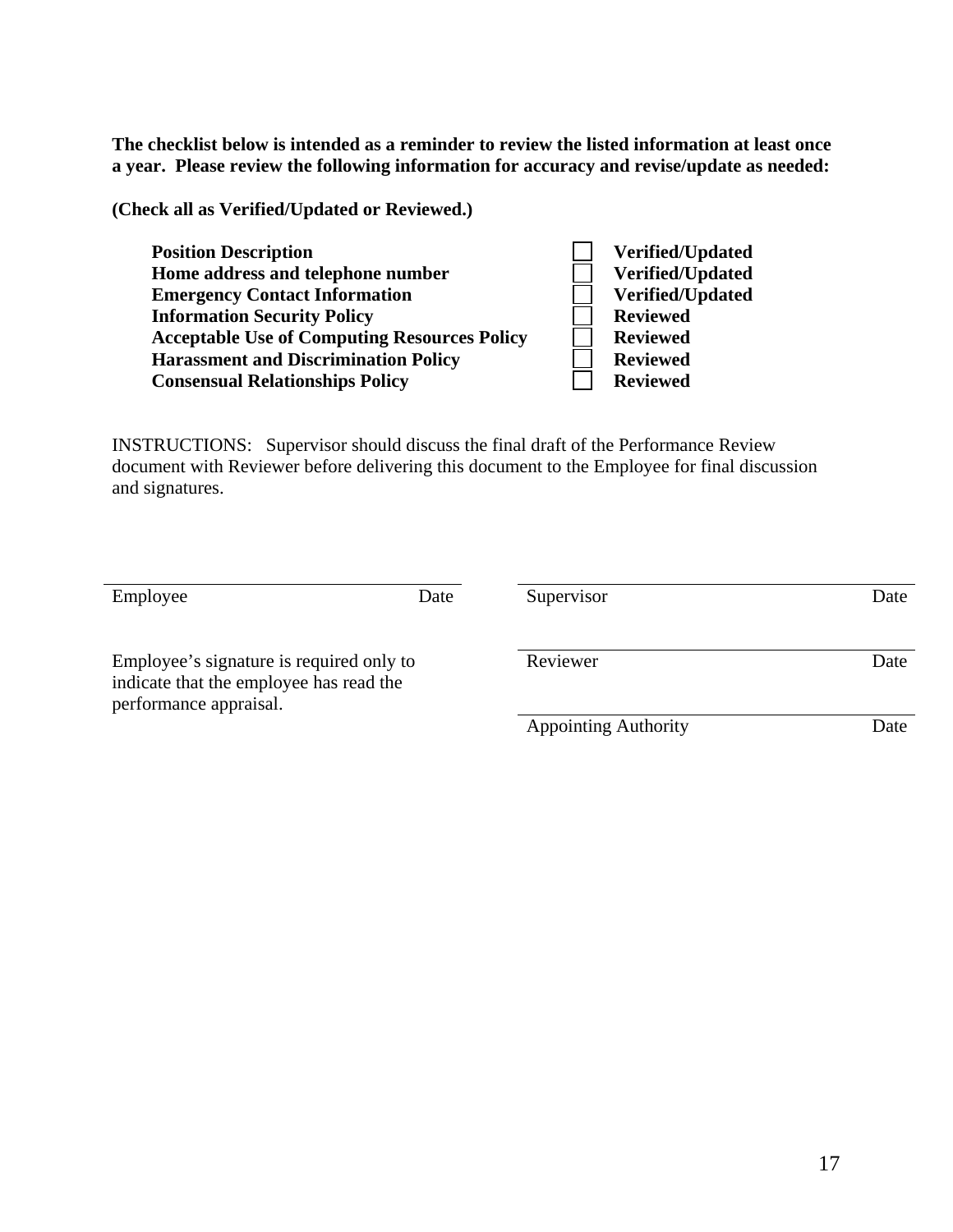**The checklist below is intended as a reminder to review the listed information at least once a year. Please review the following information for accuracy and revise/update as needed:** 

**(Check all as Verified/Updated or Reviewed.)** 

| <b>Position Description</b>                         | <b>Verified/Updated</b> |
|-----------------------------------------------------|-------------------------|
| Home address and telephone number                   | <b>Verified/Updated</b> |
| <b>Emergency Contact Information</b>                | <b>Verified/Updated</b> |
| <b>Information Security Policy</b>                  | <b>Reviewed</b>         |
| <b>Acceptable Use of Computing Resources Policy</b> | <b>Reviewed</b>         |
| <b>Harassment and Discrimination Policy</b>         | <b>Reviewed</b>         |
| <b>Consensual Relationships Policy</b>              | <b>Reviewed</b>         |

INSTRUCTIONS: Supervisor should discuss the final draft of the Performance Review document with Reviewer before delivering this document to the Employee for final discussion and signatures.

| Employee                                                                            | Date | Supervisor                  | Date |
|-------------------------------------------------------------------------------------|------|-----------------------------|------|
| Employee's signature is required only to<br>indicate that the employee has read the |      | Reviewer                    | Date |
| performance appraisal.                                                              |      | <b>Appointing Authority</b> | Date |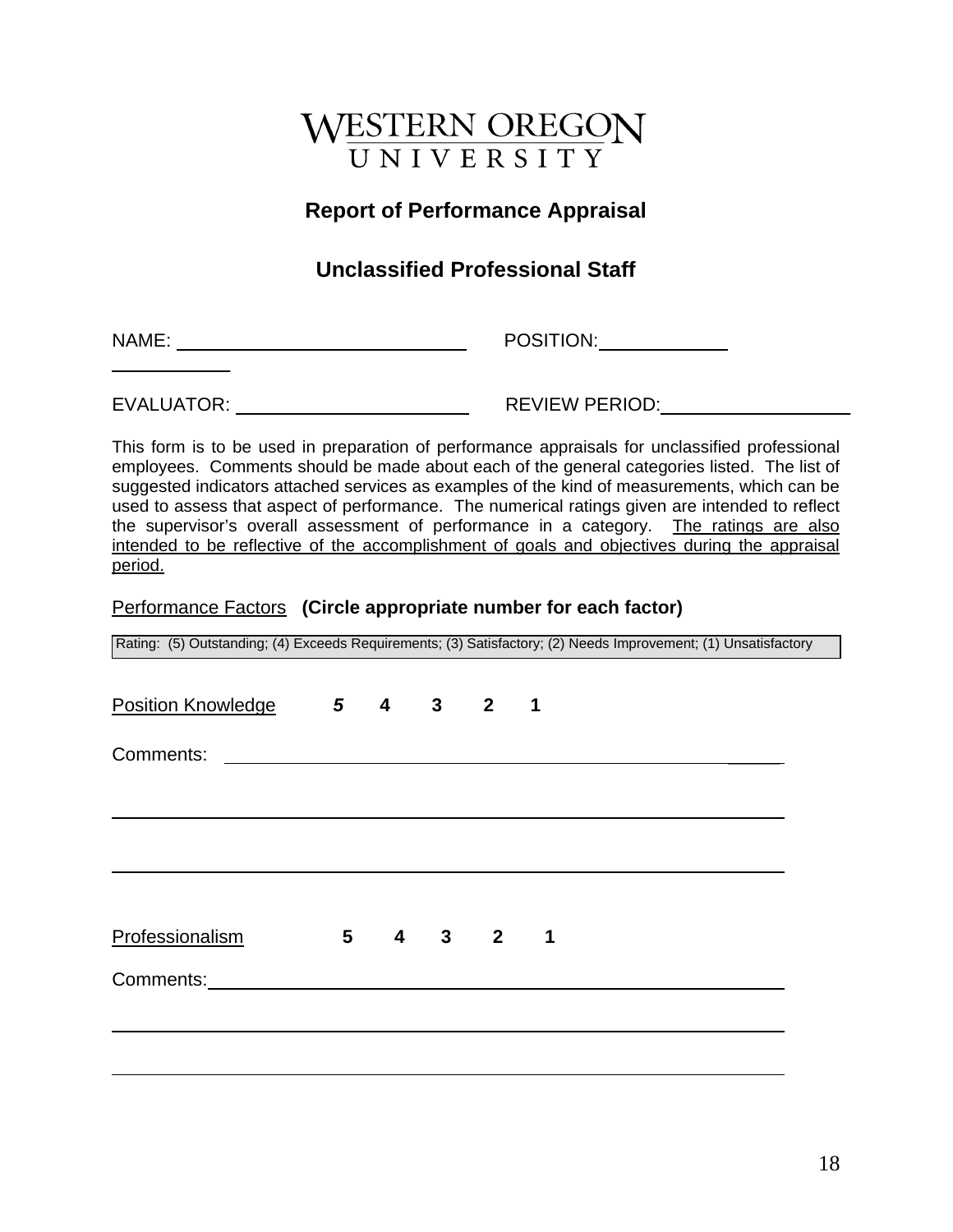

### **Report of Performance Appraisal**

## **Unclassified Professional Staff**

 $\mathcal{L}=\mathcal{L}$ 

NAME: POSITION: \_\_\_\_\_\_

EVALUATOR: \_ REVIEW PERIOD: \_

This form is to be used in preparation of performance appraisals for unclassified professional employees. Comments should be made about each of the general categories listed. The list of suggested indicators attached services as examples of the kind of measurements, which can be used to assess that aspect of performance. The numerical ratings given are intended to reflect the supervisor's overall assessment of performance in a category. The ratings are also intended to be reflective of the accomplishment of goals and objectives during the appraisal period.

Performance Factors **(Circle appropriate number for each factor)** 

| Comments:       |                                |  |             |  |
|-----------------|--------------------------------|--|-------------|--|
|                 |                                |  |             |  |
|                 |                                |  |             |  |
|                 |                                |  |             |  |
|                 |                                |  |             |  |
| Professionalism | $5 \qquad 4 \qquad 3 \qquad 2$ |  | $\mathbf 1$ |  |
|                 |                                |  |             |  |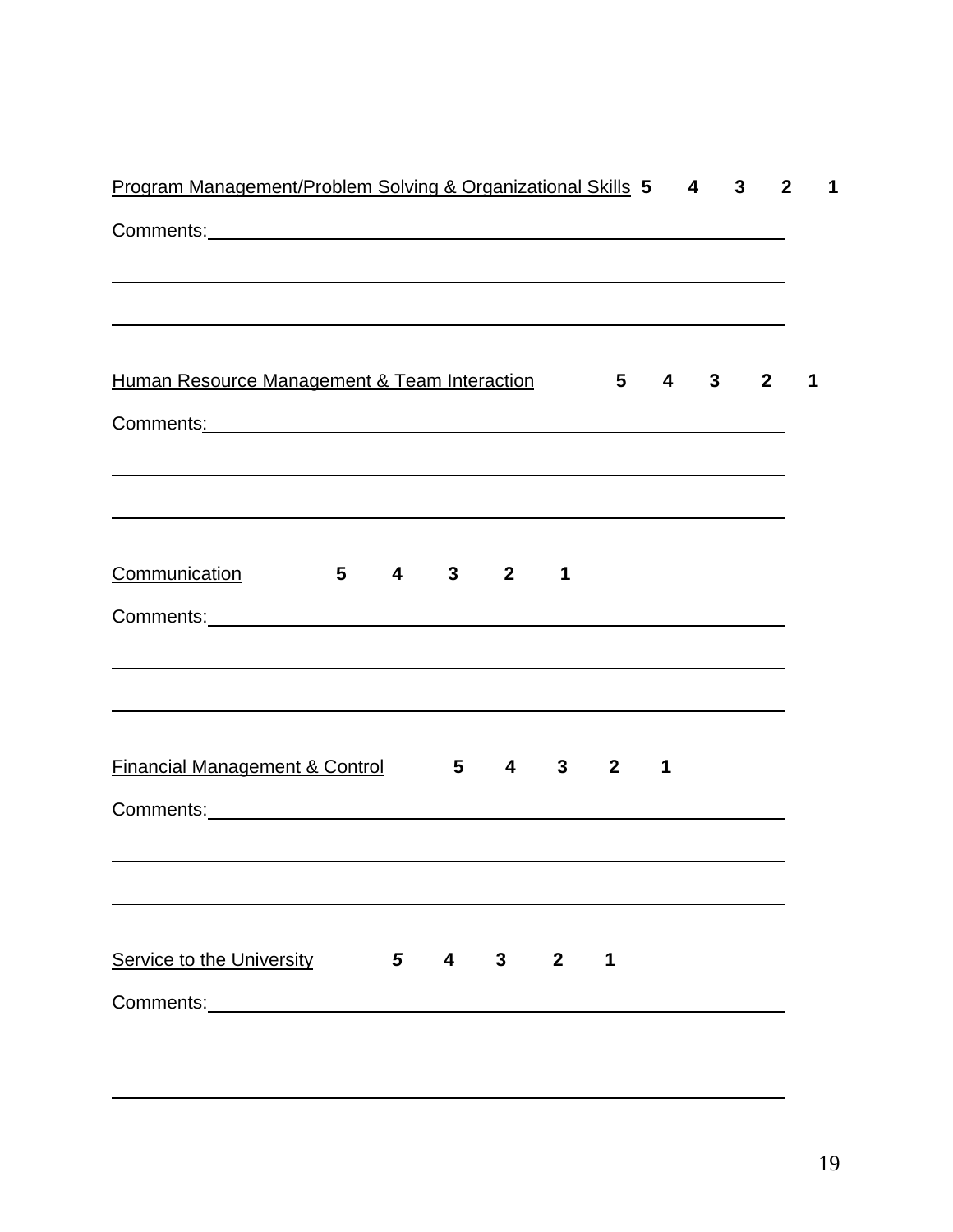| Program Management/Problem Solving & Organizational Skills 5                                                                                                                                                                   |             |   |            |                |             |   | 4              | 3                             | $\mathbf{2}$<br>1 |
|--------------------------------------------------------------------------------------------------------------------------------------------------------------------------------------------------------------------------------|-------------|---|------------|----------------|-------------|---|----------------|-------------------------------|-------------------|
|                                                                                                                                                                                                                                |             |   |            |                |             |   |                |                               |                   |
| <u> 1989 - Johann Stoff, deutscher Stoffen und der Stoffen und der Stoffen und der Stoffen und der Stoffen und der</u><br>,我们也不会有什么。""我们的人,我们也不会有什么?""我们的人,我们也不会有什么?""我们的人,我们也不会有什么?""我们的人,我们也不会有什么?""我们的人                     |             |   |            |                |             |   |                |                               |                   |
| Human Resource Management & Team Interaction                                                                                                                                                                                   |             |   |            |                | $5^{\circ}$ |   | $\overline{4}$ | $3^{\circ}$<br>2 <sup>2</sup> | 1                 |
|                                                                                                                                                                                                                                |             |   |            |                |             |   |                |                               |                   |
| ,我们也不会有什么。""我们的人,我们也不会有什么?""我们的人,我们也不会有什么?""我们的人,我们的人,我们的人,我们的人,我们的人,我们的人,我们的人,我                                                                                                                                               |             |   |            |                |             |   |                |                               |                   |
| Communication<br>$5 \quad 4 \quad 3 \quad 2$                                                                                                                                                                                   |             |   |            | 1              |             |   |                |                               |                   |
|                                                                                                                                                                                                                                |             |   |            |                |             |   |                |                               |                   |
| <b>Financial Management &amp; Control</b>                                                                                                                                                                                      |             |   | $5\quad 4$ | $3^{\circ}$    | $2^{\circ}$ | 1 |                |                               |                   |
| Comments: Comments: Comments: Comments: Comments: Comments: Comments: Comments: Comments: Comments: Comments: Comments: Comments: Comments: Comments: Comments: Comments: Comments: Comments: Comments: Comments: Comments: Co |             |   |            |                |             |   |                |                               |                   |
|                                                                                                                                                                                                                                |             |   |            |                |             |   |                |                               |                   |
| <b>Service to the University</b><br>Comments: Comments:                                                                                                                                                                        | $5^{\circ}$ | 4 | 3          | $\overline{2}$ | 1           |   |                |                               |                   |
|                                                                                                                                                                                                                                |             |   |            |                |             |   |                |                               |                   |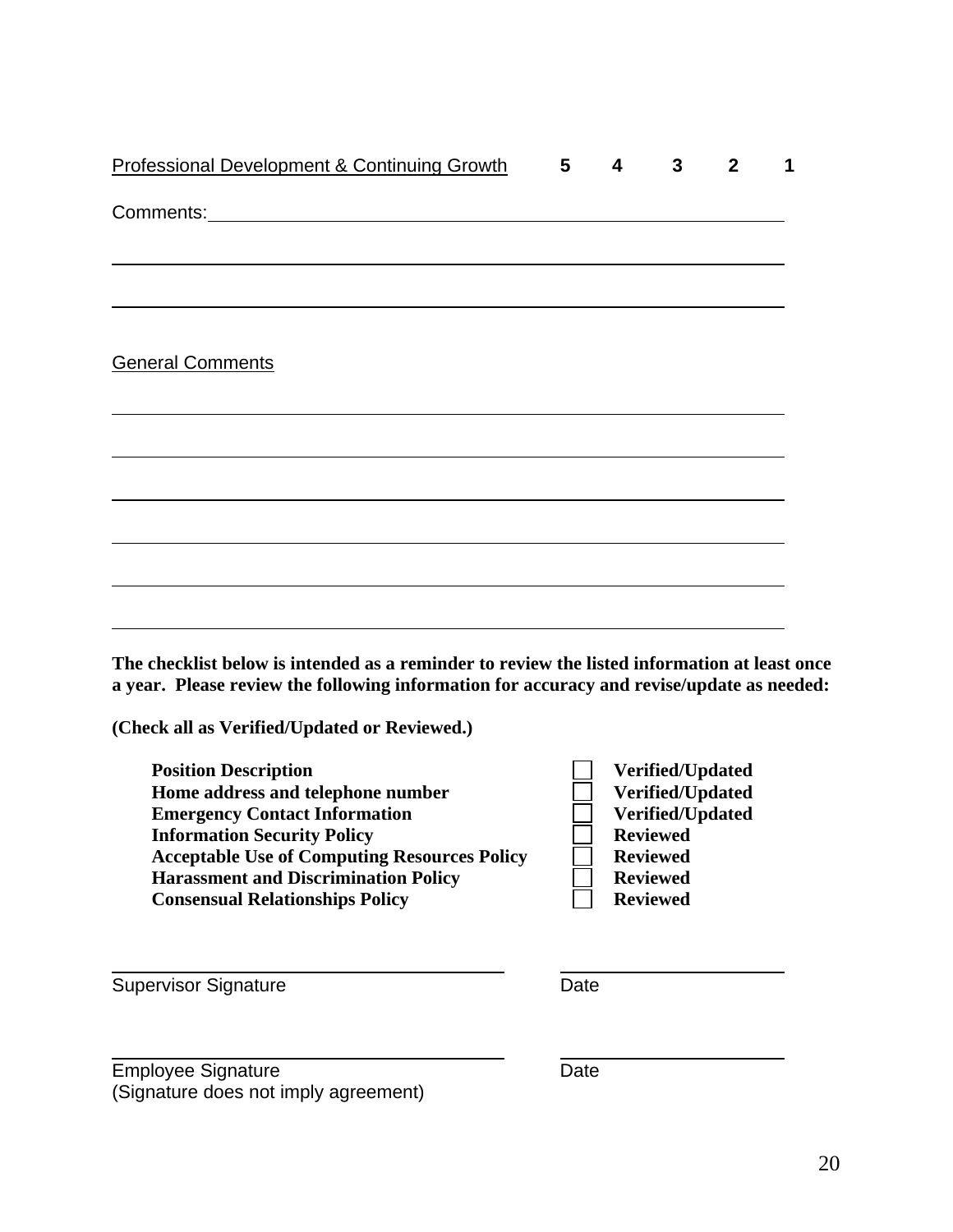| <b>Professional Development &amp; Continuing Growth</b>                                                                                                                                                                            | $5\quad 4$ | $3^{\circ}$ | $2^{\circ}$ | 1 |
|------------------------------------------------------------------------------------------------------------------------------------------------------------------------------------------------------------------------------------|------------|-------------|-------------|---|
| Comments: <u>comments:</u> comments: comments: comments: comments: comments: comments: comments: comments: comments: comments: comments: comments: comments: comments: comments: comments: comments: comments: comments: comments: |            |             |             |   |
|                                                                                                                                                                                                                                    |            |             |             |   |
|                                                                                                                                                                                                                                    |            |             |             |   |
|                                                                                                                                                                                                                                    |            |             |             |   |
| <b>General Comments</b>                                                                                                                                                                                                            |            |             |             |   |
|                                                                                                                                                                                                                                    |            |             |             |   |
|                                                                                                                                                                                                                                    |            |             |             |   |
|                                                                                                                                                                                                                                    |            |             |             |   |
|                                                                                                                                                                                                                                    |            |             |             |   |
|                                                                                                                                                                                                                                    |            |             |             |   |
|                                                                                                                                                                                                                                    |            |             |             |   |
|                                                                                                                                                                                                                                    |            |             |             |   |

**(Check all as Verified/Updated or Reviewed.)** 

| <b>Position Description</b>                         | <b>Verified/Updated</b> |
|-----------------------------------------------------|-------------------------|
| Home address and telephone number                   | <b>Verified/Updated</b> |
| <b>Emergency Contact Information</b>                | Verified/Updated        |
| <b>Information Security Policy</b>                  | <b>Reviewed</b>         |
| <b>Acceptable Use of Computing Resources Policy</b> | <b>Reviewed</b>         |
| <b>Harassment and Discrimination Policy</b>         | <b>Reviewed</b>         |
| <b>Consensual Relationships Policy</b>              | <b>Reviewed</b>         |
|                                                     |                         |

Supervisor Signature **Date** Date

 $\overline{a}$ 

 $\overline{a}$ 

Employee Signature **Date** Date (Signature does not imply agreement)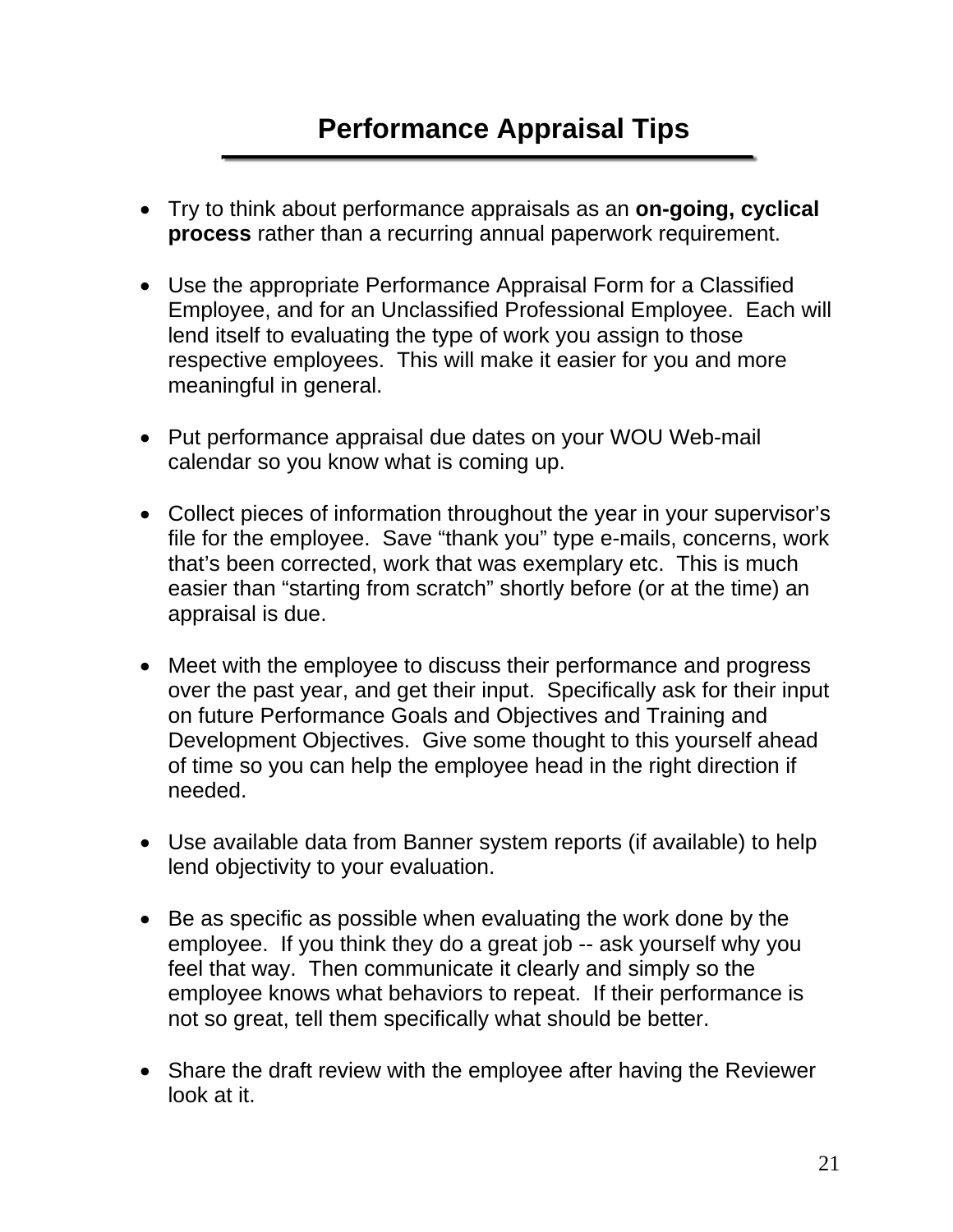# **Performance Appraisal Tips**

- Try to think about performance appraisals as an **on-going, cyclical process** rather than a recurring annual paperwork requirement.
- Use the appropriate Performance Appraisal Form for a Classified Employee, and for an Unclassified Professional Employee. Each will lend itself to evaluating the type of work you assign to those respective employees. This will make it easier for you and more meaningful in general.
- Put performance appraisal due dates on your WOU Web-mail calendar so you know what is coming up.
- Collect pieces of information throughout the year in your supervisor's file for the employee. Save "thank you" type e-mails, concerns, work that's been corrected, work that was exemplary etc. This is much easier than "starting from scratch" shortly before (or at the time) an appraisal is due.
- Meet with the employee to discuss their performance and progress over the past year, and get their input. Specifically ask for their input on future Performance Goals and Objectives and Training and Development Objectives. Give some thought to this yourself ahead of time so you can help the employee head in the right direction if needed.
- Use available data from Banner system reports (if available) to help lend objectivity to your evaluation.
- Be as specific as possible when evaluating the work done by the employee. If you think they do a great job -- ask yourself why you feel that way. Then communicate it clearly and simply so the employee knows what behaviors to repeat. If their performance is not so great, tell them specifically what should be better.
- Share the draft review with the employee after having the Reviewer look at it.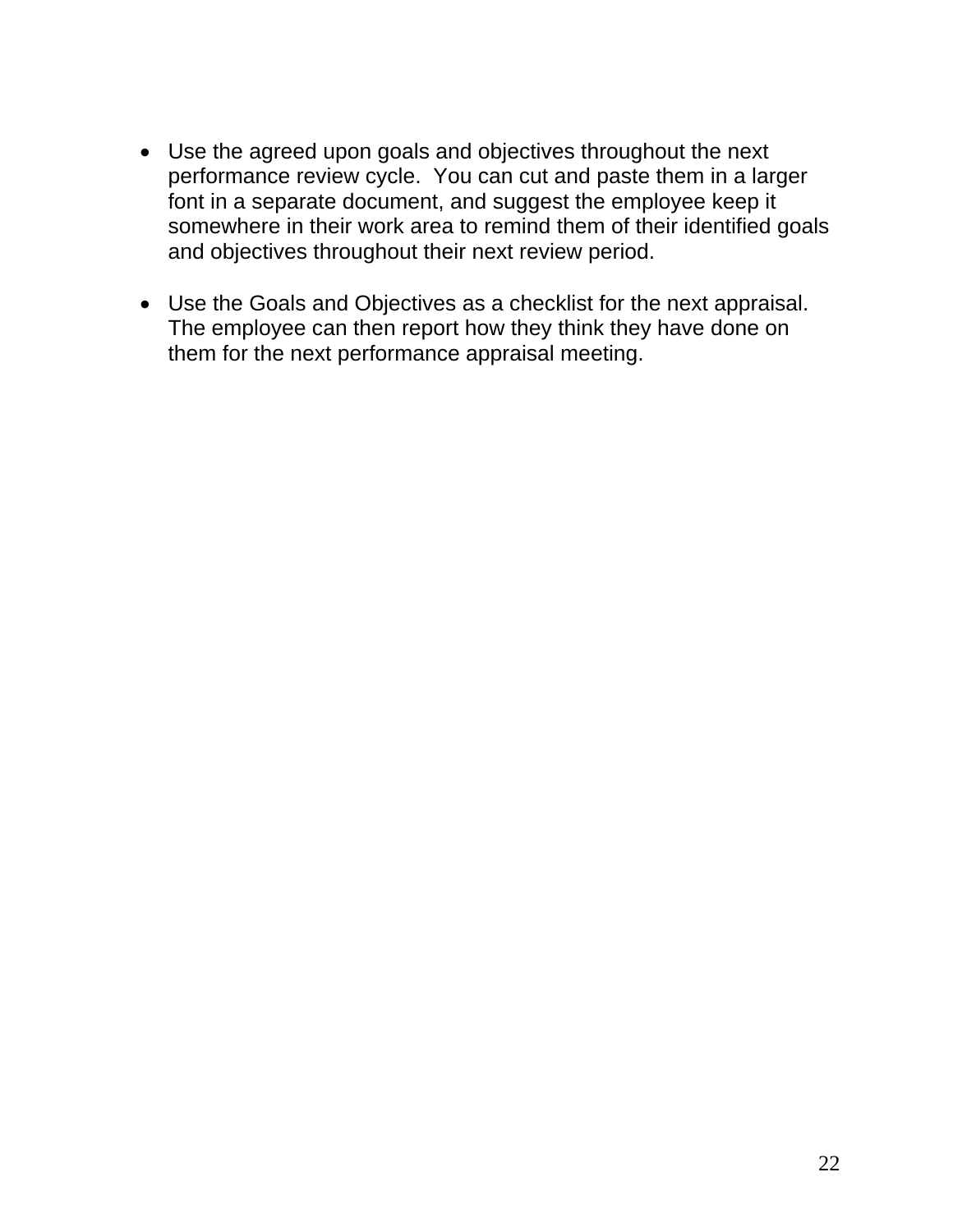- Use the agreed upon goals and objectives throughout the next performance review cycle. You can cut and paste them in a larger font in a separate document, and suggest the employee keep it somewhere in their work area to remind them of their identified goals and objectives throughout their next review period.
- Use the Goals and Objectives as a checklist for the next appraisal. The employee can then report how they think they have done on them for the next performance appraisal meeting.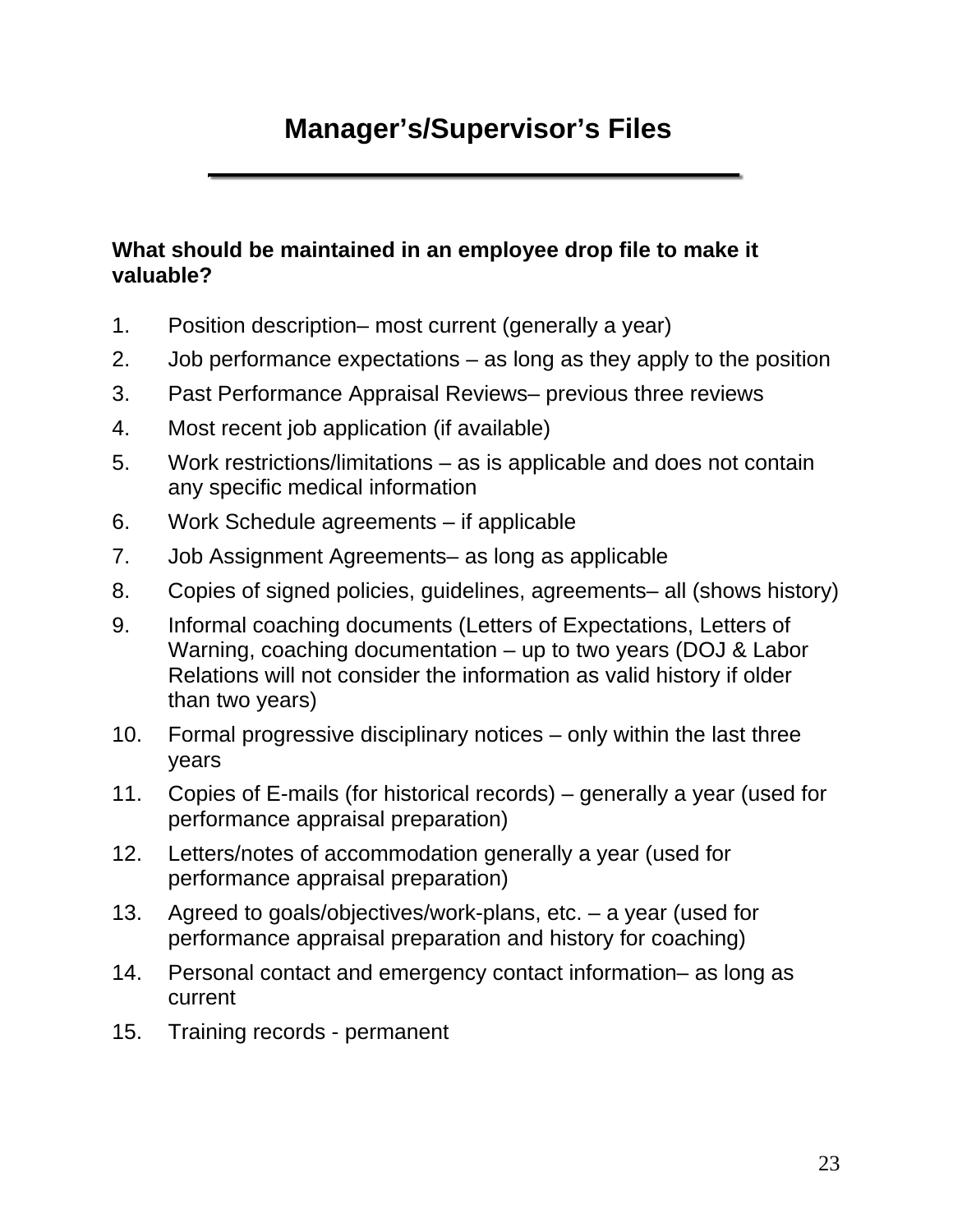# **Manager's/Supervisor's Files**

### **What should be maintained in an employee drop file to make it valuable?**

- 1. Position description– most current (generally a year)
- 2. Job performance expectations as long as they apply to the position
- 3. Past Performance Appraisal Reviews– previous three reviews
- 4. Most recent job application (if available)
- 5. Work restrictions/limitations as is applicable and does not contain any specific medical information
- 6. Work Schedule agreements if applicable
- 7. Job Assignment Agreements– as long as applicable
- 8. Copies of signed policies, guidelines, agreements– all (shows history)
- 9. Informal coaching documents (Letters of Expectations, Letters of Warning, coaching documentation – up to two years (DOJ & Labor Relations will not consider the information as valid history if older than two years)
- 10. Formal progressive disciplinary notices only within the last three years
- 11. Copies of E-mails (for historical records) generally a year (used for performance appraisal preparation)
- 12. Letters/notes of accommodation generally a year (used for performance appraisal preparation)
- 13. Agreed to goals/objectives/work-plans, etc. a year (used for performance appraisal preparation and history for coaching)
- 14. Personal contact and emergency contact information– as long as current
- 15. Training records permanent